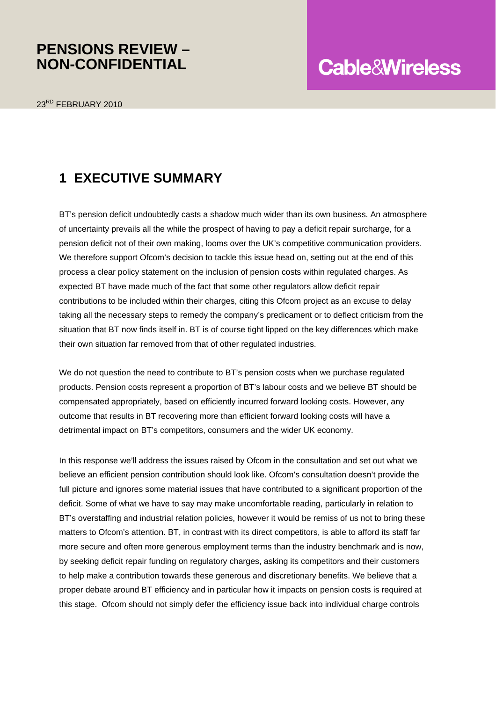### **PENSIONS REVIEW – NON-CONFIDENTIAL**

# **Cable&Wireless**

### **1 EXECUTIVE SUMMARY**

BT's pension deficit undoubtedly casts a shadow much wider than its own business. An atmosphere of uncertainty prevails all the while the prospect of having to pay a deficit repair surcharge, for a pension deficit not of their own making, looms over the UK's competitive communication providers. We therefore support Ofcom's decision to tackle this issue head on, setting out at the end of this process a clear policy statement on the inclusion of pension costs within regulated charges. As expected BT have made much of the fact that some other regulators allow deficit repair contributions to be included within their charges, citing this Ofcom project as an excuse to delay taking all the necessary steps to remedy the company's predicament or to deflect criticism from the situation that BT now finds itself in. BT is of course tight lipped on the key differences which make their own situation far removed from that of other regulated industries.

We do not question the need to contribute to BT's pension costs when we purchase regulated products. Pension costs represent a proportion of BT's labour costs and we believe BT should be compensated appropriately, based on efficiently incurred forward looking costs. However, any outcome that results in BT recovering more than efficient forward looking costs will have a detrimental impact on BT's competitors, consumers and the wider UK economy.

In this response we'll address the issues raised by Ofcom in the consultation and set out what we believe an efficient pension contribution should look like. Ofcom's consultation doesn't provide the full picture and ignores some material issues that have contributed to a significant proportion of the deficit. Some of what we have to say may make uncomfortable reading, particularly in relation to BT's overstaffing and industrial relation policies, however it would be remiss of us not to bring these matters to Ofcom's attention. BT, in contrast with its direct competitors, is able to afford its staff far more secure and often more generous employment terms than the industry benchmark and is now, by seeking deficit repair funding on regulatory charges, asking its competitors and their customers to help make a contribution towards these generous and discretionary benefits. We believe that a proper debate around BT efficiency and in particular how it impacts on pension costs is required at this stage. Ofcom should not simply defer the efficiency issue back into individual charge controls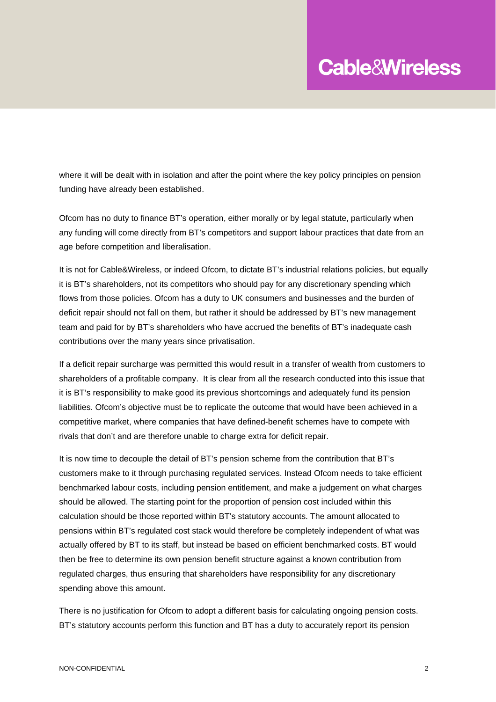where it will be dealt with in isolation and after the point where the key policy principles on pension funding have already been established.

Ofcom has no duty to finance BT's operation, either morally or by legal statute, particularly when any funding will come directly from BT's competitors and support labour practices that date from an age before competition and liberalisation.

It is not for Cable&Wireless, or indeed Ofcom, to dictate BT's industrial relations policies, but equally it is BT's shareholders, not its competitors who should pay for any discretionary spending which flows from those policies. Ofcom has a duty to UK consumers and businesses and the burden of deficit repair should not fall on them, but rather it should be addressed by BT's new management team and paid for by BT's shareholders who have accrued the benefits of BT's inadequate cash contributions over the many years since privatisation.

If a deficit repair surcharge was permitted this would result in a transfer of wealth from customers to shareholders of a profitable company. It is clear from all the research conducted into this issue that it is BT's responsibility to make good its previous shortcomings and adequately fund its pension liabilities. Ofcom's objective must be to replicate the outcome that would have been achieved in a competitive market, where companies that have defined-benefit schemes have to compete with rivals that don't and are therefore unable to charge extra for deficit repair.

It is now time to decouple the detail of BT's pension scheme from the contribution that BT's customers make to it through purchasing regulated services. Instead Ofcom needs to take efficient benchmarked labour costs, including pension entitlement, and make a judgement on what charges should be allowed. The starting point for the proportion of pension cost included within this calculation should be those reported within BT's statutory accounts. The amount allocated to pensions within BT's regulated cost stack would therefore be completely independent of what was actually offered by BT to its staff, but instead be based on efficient benchmarked costs. BT would then be free to determine its own pension benefit structure against a known contribution from regulated charges, thus ensuring that shareholders have responsibility for any discretionary spending above this amount.

There is no justification for Ofcom to adopt a different basis for calculating ongoing pension costs. BT's statutory accounts perform this function and BT has a duty to accurately report its pension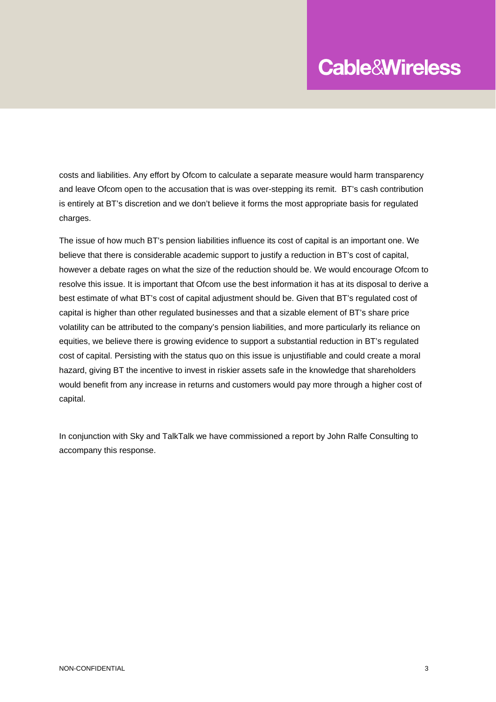costs and liabilities. Any effort by Ofcom to calculate a separate measure would harm transparency and leave Ofcom open to the accusation that is was over-stepping its remit. BT's cash contribution is entirely at BT's discretion and we don't believe it forms the most appropriate basis for regulated charges.

The issue of how much BT's pension liabilities influence its cost of capital is an important one. We believe that there is considerable academic support to justify a reduction in BT's cost of capital, however a debate rages on what the size of the reduction should be. We would encourage Ofcom to resolve this issue. It is important that Ofcom use the best information it has at its disposal to derive a best estimate of what BT's cost of capital adjustment should be. Given that BT's regulated cost of capital is higher than other regulated businesses and that a sizable element of BT's share price volatility can be attributed to the company's pension liabilities, and more particularly its reliance on equities, we believe there is growing evidence to support a substantial reduction in BT's regulated cost of capital. Persisting with the status quo on this issue is unjustifiable and could create a moral hazard, giving BT the incentive to invest in riskier assets safe in the knowledge that shareholders would benefit from any increase in returns and customers would pay more through a higher cost of capital.

In conjunction with Sky and TalkTalk we have commissioned a report by John Ralfe Consulting to accompany this response.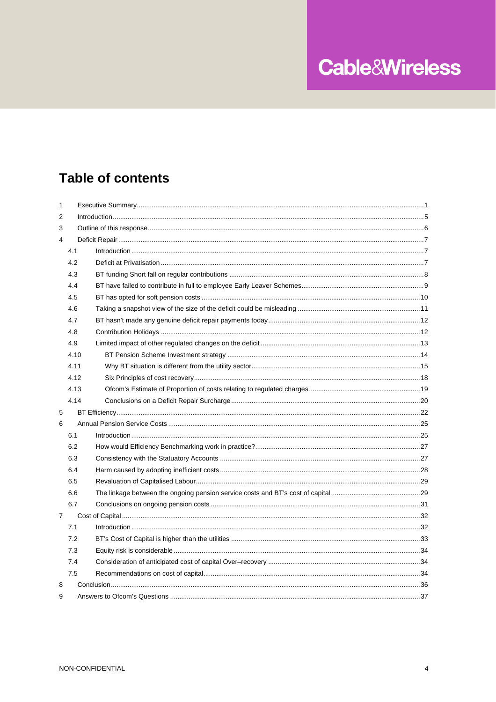## **Table of contents**

| 1              |      |  |
|----------------|------|--|
| 2              |      |  |
| 3              |      |  |
| $\overline{4}$ |      |  |
|                | 4.1  |  |
|                | 4.2  |  |
|                | 4.3  |  |
|                | 4.4  |  |
|                | 4.5  |  |
|                | 4.6  |  |
|                | 4.7  |  |
|                | 4.8  |  |
|                | 4.9  |  |
|                | 4.10 |  |
|                | 4.11 |  |
|                | 4.12 |  |
|                | 4.13 |  |
|                | 4.14 |  |
| 5              |      |  |
| 6              |      |  |
|                | 6.1  |  |
|                | 6.2  |  |
|                | 6.3  |  |
|                | 6.4  |  |
|                | 6.5  |  |
|                | 6.6  |  |
|                | 6.7  |  |
| $\overline{7}$ |      |  |
|                | 7.1  |  |
|                | 7.2  |  |
|                | 7.3  |  |
|                | 7.4  |  |
|                | 7.5  |  |
| 8              |      |  |
| 9              |      |  |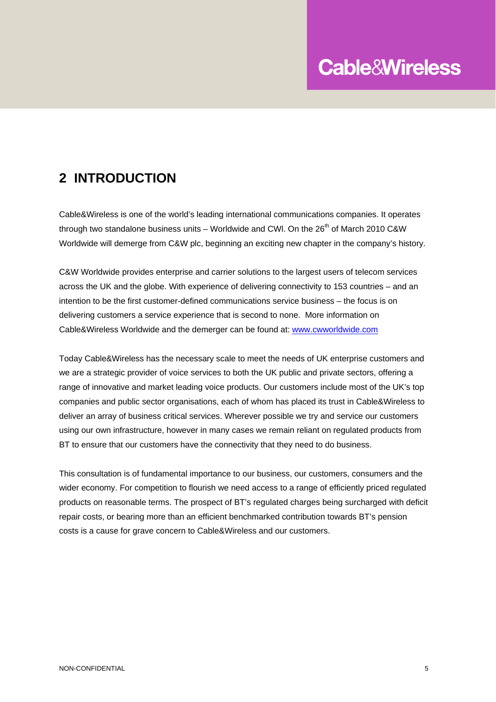### **2 INTRODUCTION**

Cable&Wireless is one of the world's leading international communications companies. It operates through two standalone business units – Worldwide and CWI. On the  $26<sup>th</sup>$  of March 2010 C&W Worldwide will demerge from C&W plc, beginning an exciting new chapter in the company's history.

C&W Worldwide provides enterprise and carrier solutions to the largest users of telecom services across the UK and the globe. With experience of delivering connectivity to 153 countries – and an intention to be the first customer-defined communications service business – the focus is on delivering customers a service experience that is second to none. More information on Cable&Wireless Worldwide and the demerger can be found at: www.cwworldwide.com

Today Cable&Wireless has the necessary scale to meet the needs of UK enterprise customers and we are a strategic provider of voice services to both the UK public and private sectors, offering a range of innovative and market leading voice products. Our customers include most of the UK's top companies and public sector organisations, each of whom has placed its trust in Cable&Wireless to deliver an array of business critical services. Wherever possible we try and service our customers using our own infrastructure, however in many cases we remain reliant on regulated products from BT to ensure that our customers have the connectivity that they need to do business.

This consultation is of fundamental importance to our business, our customers, consumers and the wider economy. For competition to flourish we need access to a range of efficiently priced regulated products on reasonable terms. The prospect of BT's regulated charges being surcharged with deficit repair costs, or bearing more than an efficient benchmarked contribution towards BT's pension costs is a cause for grave concern to Cable&Wireless and our customers.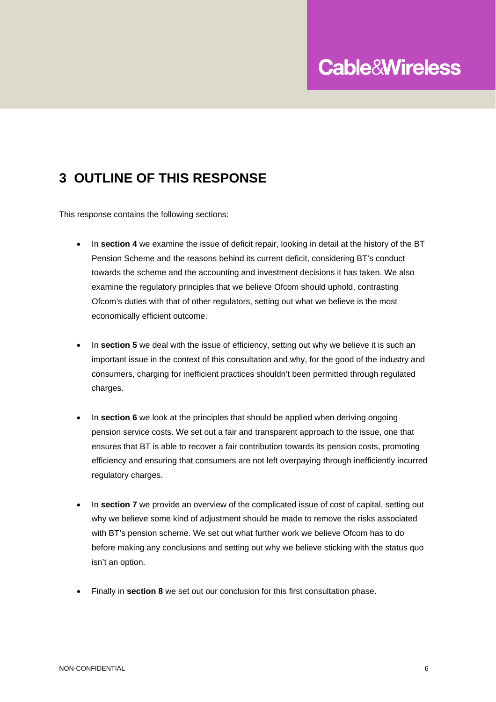## **3 OUTLINE OF THIS RESPONSE**

This response contains the following sections:

- In **section 4** we examine the issue of deficit repair, looking in detail at the history of the BT Pension Scheme and the reasons behind its current deficit, considering BT's conduct towards the scheme and the accounting and investment decisions it has taken. We also examine the regulatory principles that we believe Ofcom should uphold, contrasting Ofcom's duties with that of other regulators, setting out what we believe is the most economically efficient outcome.
- In **section 5** we deal with the issue of efficiency, setting out why we believe it is such an important issue in the context of this consultation and why, for the good of the industry and consumers, charging for inefficient practices shouldn't been permitted through regulated charges.
- In **section 6** we look at the principles that should be applied when deriving ongoing pension service costs. We set out a fair and transparent approach to the issue, one that ensures that BT is able to recover a fair contribution towards its pension costs, promoting efficiency and ensuring that consumers are not left overpaying through inefficiently incurred regulatory charges.
- In **section 7** we provide an overview of the complicated issue of cost of capital, setting out why we believe some kind of adjustment should be made to remove the risks associated with BT's pension scheme. We set out what further work we believe Ofcom has to do before making any conclusions and setting out why we believe sticking with the status quo isn't an option.
- Finally in **section 8** we set out our conclusion for this first consultation phase.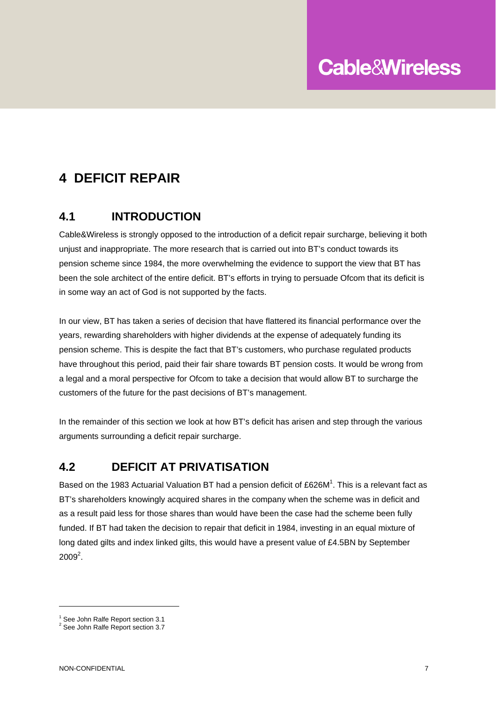## **4 DEFICIT REPAIR**

#### **4.1 INTRODUCTION**

Cable&Wireless is strongly opposed to the introduction of a deficit repair surcharge, believing it both unjust and inappropriate. The more research that is carried out into BT's conduct towards its pension scheme since 1984, the more overwhelming the evidence to support the view that BT has been the sole architect of the entire deficit. BT's efforts in trying to persuade Ofcom that its deficit is in some way an act of God is not supported by the facts.

In our view, BT has taken a series of decision that have flattered its financial performance over the years, rewarding shareholders with higher dividends at the expense of adequately funding its pension scheme. This is despite the fact that BT's customers, who purchase regulated products have throughout this period, paid their fair share towards BT pension costs. It would be wrong from a legal and a moral perspective for Ofcom to take a decision that would allow BT to surcharge the customers of the future for the past decisions of BT's management.

In the remainder of this section we look at how BT's deficit has arisen and step through the various arguments surrounding a deficit repair surcharge.

#### **4.2 DEFICIT AT PRIVATISATION**

Based on the 1983 Actuarial Valuation BT had a pension deficit of £626M<sup>1</sup>. This is a relevant fact as BT's shareholders knowingly acquired shares in the company when the scheme was in deficit and as a result paid less for those shares than would have been the case had the scheme been fully funded. If BT had taken the decision to repair that deficit in 1984, investing in an equal mixture of long dated gilts and index linked gilts, this would have a present value of £4.5BN by September  $2009^2$ .

 $\overline{a}$ 

<sup>&</sup>lt;sup>1</sup> See John Ralfe Report section 3.1

<sup>&</sup>lt;sup>2</sup> See John Ralfe Report section 3.7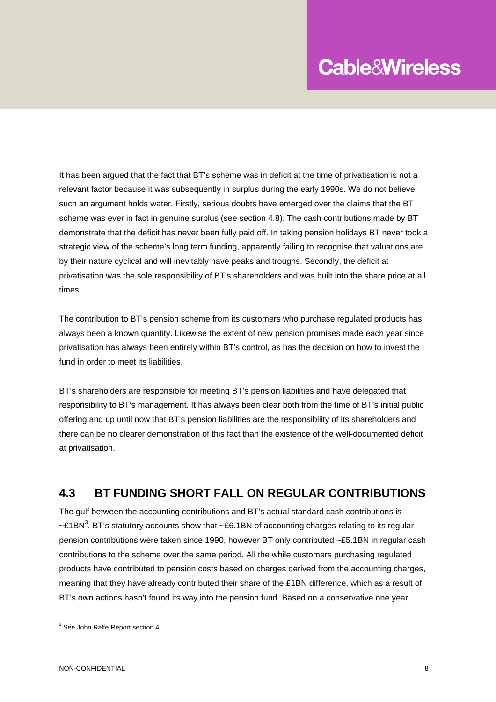It has been argued that the fact that BT's scheme was in deficit at the time of privatisation is not a relevant factor because it was subsequently in surplus during the early 1990s. We do not believe such an argument holds water. Firstly, serious doubts have emerged over the claims that the BT scheme was ever in fact in genuine surplus (see section 4.8). The cash contributions made by BT demonstrate that the deficit has never been fully paid off. In taking pension holidays BT never took a strategic view of the scheme's long term funding, apparently failing to recognise that valuations are by their nature cyclical and will inevitably have peaks and troughs. Secondly, the deficit at privatisation was the sole responsibility of BT's shareholders and was built into the share price at all times.

The contribution to BT's pension scheme from its customers who purchase regulated products has always been a known quantity. Likewise the extent of new pension promises made each year since privatisation has always been entirely within BT's control, as has the decision on how to invest the fund in order to meet its liabilities.

BT's shareholders are responsible for meeting BT's pension liabilities and have delegated that responsibility to BT's management. It has always been clear both from the time of BT's initial public offering and up until now that BT's pension liabilities are the responsibility of its shareholders and there can be no clearer demonstration of this fact than the existence of the well-documented deficit at privatisation.

#### **4.3 BT FUNDING SHORT FALL ON REGULAR CONTRIBUTIONS**

The gulf between the accounting contributions and BT's actual standard cash contributions is ~£1BN<sup>3</sup>. BT's statutory accounts show that ~£6.1BN of accounting charges relating to its regular pension contributions were taken since 1990, however BT only contributed ~£5.1BN in regular cash contributions to the scheme over the same period. All the while customers purchasing regulated products have contributed to pension costs based on charges derived from the accounting charges, meaning that they have already contributed their share of the £1BN difference, which as a result of BT's own actions hasn't found its way into the pension fund. Based on a conservative one year

<sup>&</sup>lt;sup>3</sup> See John Ralfe Report section 4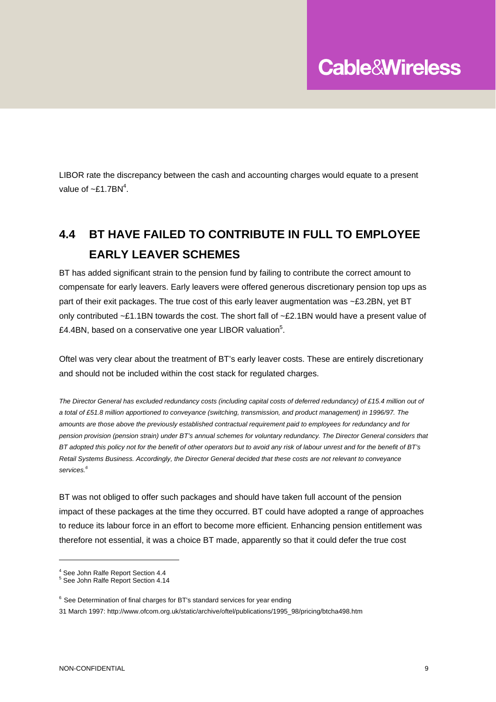LIBOR rate the discrepancy between the cash and accounting charges would equate to a present value of  $\sim$ £1.7BN<sup>4</sup>.

## **4.4 BT HAVE FAILED TO CONTRIBUTE IN FULL TO EMPLOYEE EARLY LEAVER SCHEMES**

BT has added significant strain to the pension fund by failing to contribute the correct amount to compensate for early leavers. Early leavers were offered generous discretionary pension top ups as part of their exit packages. The true cost of this early leaver augmentation was ~£3.2BN, yet BT only contributed ~£1.1BN towards the cost. The short fall of ~£2.1BN would have a present value of £4.4BN, based on a conservative one year LIBOR valuation<sup>5</sup>.

Oftel was very clear about the treatment of BT's early leaver costs. These are entirely discretionary and should not be included within the cost stack for regulated charges.

*The Director General has excluded redundancy costs (including capital costs of deferred redundancy) of £15.4 million out of a total of £51.8 million apportioned to conveyance (switching, transmission, and product management) in 1996/97. The amounts are those above the previously established contractual requirement paid to employees for redundancy and for pension provision (pension strain) under BT's annual schemes for voluntary redundancy. The Director General considers that BT adopted this policy not for the benefit of other operators but to avoid any risk of labour unrest and for the benefit of BT's Retail Systems Business. Accordingly, the Director General decided that these costs are not relevant to conveyance services.6*

BT was not obliged to offer such packages and should have taken full account of the pension impact of these packages at the time they occurred. BT could have adopted a range of approaches to reduce its labour force in an effort to become more efficient. Enhancing pension entitlement was therefore not essential, it was a choice BT made, apparently so that it could defer the true cost

<sup>&</sup>lt;sup>4</sup> See John Ralfe Report Section 4.4

<sup>5</sup> See John Ralfe Report Section 4.14

<sup>&</sup>lt;sup>6</sup> See Determination of final charges for BT's standard services for year ending

<sup>31</sup> March 1997: http://www.ofcom.org.uk/static/archive/oftel/publications/1995\_98/pricing/btcha498.htm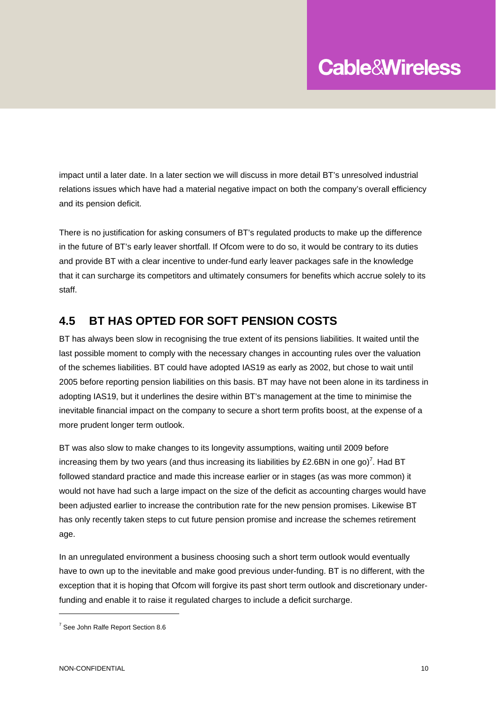impact until a later date. In a later section we will discuss in more detail BT's unresolved industrial relations issues which have had a material negative impact on both the company's overall efficiency and its pension deficit.

There is no justification for asking consumers of BT's regulated products to make up the difference in the future of BT's early leaver shortfall. If Ofcom were to do so, it would be contrary to its duties and provide BT with a clear incentive to under-fund early leaver packages safe in the knowledge that it can surcharge its competitors and ultimately consumers for benefits which accrue solely to its staff.

#### **4.5 BT HAS OPTED FOR SOFT PENSION COSTS**

BT has always been slow in recognising the true extent of its pensions liabilities. It waited until the last possible moment to comply with the necessary changes in accounting rules over the valuation of the schemes liabilities. BT could have adopted IAS19 as early as 2002, but chose to wait until 2005 before reporting pension liabilities on this basis. BT may have not been alone in its tardiness in adopting IAS19, but it underlines the desire within BT's management at the time to minimise the inevitable financial impact on the company to secure a short term profits boost, at the expense of a more prudent longer term outlook.

BT was also slow to make changes to its longevity assumptions, waiting until 2009 before increasing them by two years (and thus increasing its liabilities by £2.6BN in one go)<sup>7</sup>. Had BT followed standard practice and made this increase earlier or in stages (as was more common) it would not have had such a large impact on the size of the deficit as accounting charges would have been adjusted earlier to increase the contribution rate for the new pension promises. Likewise BT has only recently taken steps to cut future pension promise and increase the schemes retirement age.

In an unregulated environment a business choosing such a short term outlook would eventually have to own up to the inevitable and make good previous under-funding. BT is no different, with the exception that it is hoping that Ofcom will forgive its past short term outlook and discretionary underfunding and enable it to raise it regulated charges to include a deficit surcharge.

<sup>&</sup>lt;sup>7</sup> See John Ralfe Report Section 8.6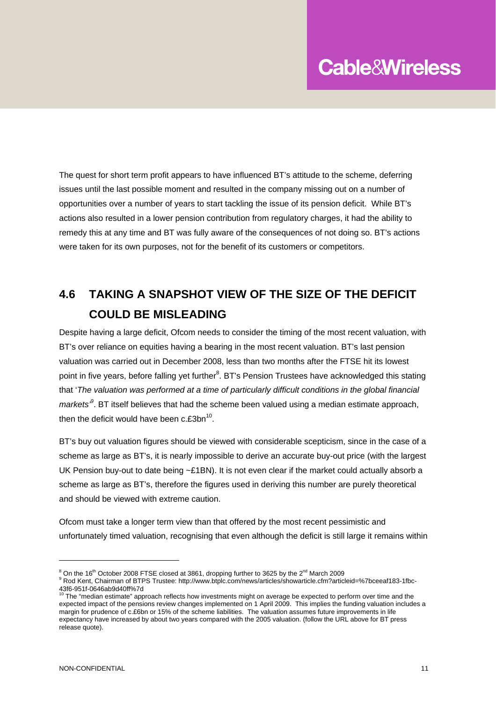The quest for short term profit appears to have influenced BT's attitude to the scheme, deferring issues until the last possible moment and resulted in the company missing out on a number of opportunities over a number of years to start tackling the issue of its pension deficit. While BT's actions also resulted in a lower pension contribution from regulatory charges, it had the ability to remedy this at any time and BT was fully aware of the consequences of not doing so. BT's actions were taken for its own purposes, not for the benefit of its customers or competitors.

## **4.6 TAKING A SNAPSHOT VIEW OF THE SIZE OF THE DEFICIT COULD BE MISLEADING**

Despite having a large deficit, Ofcom needs to consider the timing of the most recent valuation, with BT's over reliance on equities having a bearing in the most recent valuation. BT's last pension valuation was carried out in December 2008, less than two months after the FTSE hit its lowest point in five years, before falling yet further<sup>8</sup>. BT's Pension Trustees have acknowledged this stating that '*The valuation was performed at a time of particularly difficult conditions in the global financial*  markets<sup>8</sup>. BT itself believes that had the scheme been valued using a median estimate approach, then the deficit would have been  $c.f.3bn^{10}$ .

BT's buy out valuation figures should be viewed with considerable scepticism, since in the case of a scheme as large as BT's, it is nearly impossible to derive an accurate buy-out price (with the largest UK Pension buy-out to date being  $-E1BN$ ). It is not even clear if the market could actually absorb a scheme as large as BT's, therefore the figures used in deriving this number are purely theoretical and should be viewed with extreme caution.

Ofcom must take a longer term view than that offered by the most recent pessimistic and unfortunately timed valuation, recognising that even although the deficit is still large it remains within

 $\degree$  On the 16<sup>th</sup> October 2008 FTSE closed at 3861, dropping further to 3625 by the 2<sup>nd</sup> March 2009

Rod Kent, Chairman of BTPS Trustee: http://www.btplc.com/news/articles/showarticle.cfm?articleid=%7bceeaf183-1fbc-43f6-951f-0646ab9d40ff%7d<br><sup>10</sup> The "median estimate" approach reflects how investments might on average be expected to perform over time and the

expected impact of the pensions review changes implemented on 1 April 2009. This implies the funding valuation includes a margin for prudence of c.£6bn or 15% of the scheme liabilities. The valuation assumes future improvements in life expectancy have increased by about two years compared with the 2005 valuation. (follow the URL above for BT press release quote).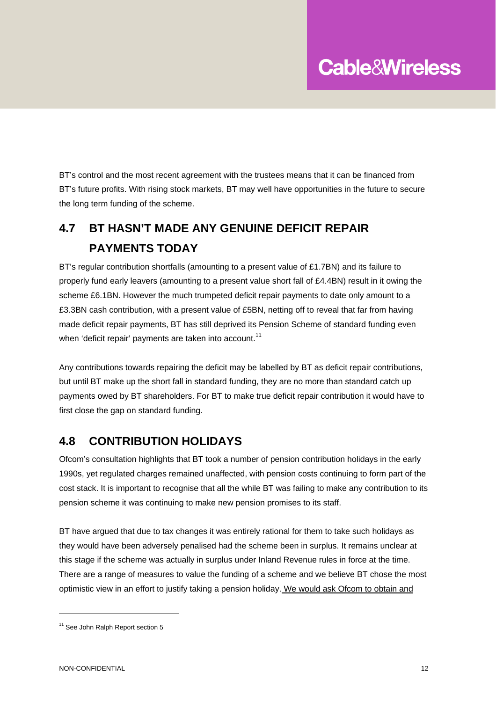BT's control and the most recent agreement with the trustees means that it can be financed from BT's future profits. With rising stock markets, BT may well have opportunities in the future to secure the long term funding of the scheme.

## **4.7 BT HASN'T MADE ANY GENUINE DEFICIT REPAIR PAYMENTS TODAY**

BT's regular contribution shortfalls (amounting to a present value of £1.7BN) and its failure to properly fund early leavers (amounting to a present value short fall of £4.4BN) result in it owing the scheme £6.1BN. However the much trumpeted deficit repair payments to date only amount to a £3.3BN cash contribution, with a present value of £5BN, netting off to reveal that far from having made deficit repair payments, BT has still deprived its Pension Scheme of standard funding even when 'deficit repair' payments are taken into account.<sup>11</sup>

Any contributions towards repairing the deficit may be labelled by BT as deficit repair contributions, but until BT make up the short fall in standard funding, they are no more than standard catch up payments owed by BT shareholders. For BT to make true deficit repair contribution it would have to first close the gap on standard funding.

#### **4.8 CONTRIBUTION HOLIDAYS**

Ofcom's consultation highlights that BT took a number of pension contribution holidays in the early 1990s, yet regulated charges remained unaffected, with pension costs continuing to form part of the cost stack. It is important to recognise that all the while BT was failing to make any contribution to its pension scheme it was continuing to make new pension promises to its staff.

BT have argued that due to tax changes it was entirely rational for them to take such holidays as they would have been adversely penalised had the scheme been in surplus. It remains unclear at this stage if the scheme was actually in surplus under Inland Revenue rules in force at the time. There are a range of measures to value the funding of a scheme and we believe BT chose the most optimistic view in an effort to justify taking a pension holiday. We would ask Ofcom to obtain and

<sup>&</sup>lt;sup>11</sup> See John Ralph Report section 5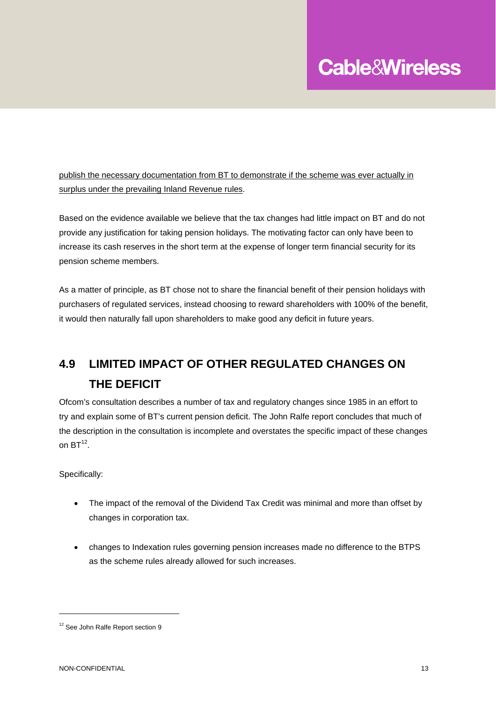publish the necessary documentation from BT to demonstrate if the scheme was ever actually in surplus under the prevailing Inland Revenue rules.

Based on the evidence available we believe that the tax changes had little impact on BT and do not provide any justification for taking pension holidays. The motivating factor can only have been to increase its cash reserves in the short term at the expense of longer term financial security for its pension scheme members.

As a matter of principle, as BT chose not to share the financial benefit of their pension holidays with purchasers of regulated services, instead choosing to reward shareholders with 100% of the benefit, it would then naturally fall upon shareholders to make good any deficit in future years.

## **4.9 LIMITED IMPACT OF OTHER REGULATED CHANGES ON THE DEFICIT**

Ofcom's consultation describes a number of tax and regulatory changes since 1985 in an effort to try and explain some of BT's current pension deficit. The John Ralfe report concludes that much of the description in the consultation is incomplete and overstates the specific impact of these changes on  $BT^{12}$ 

Specifically:

- The impact of the removal of the Dividend Tax Credit was minimal and more than offset by changes in corporation tax.
- changes to Indexation rules governing pension increases made no difference to the BTPS as the scheme rules already allowed for such increases.

<sup>&</sup>lt;sup>12</sup> See John Ralfe Report section 9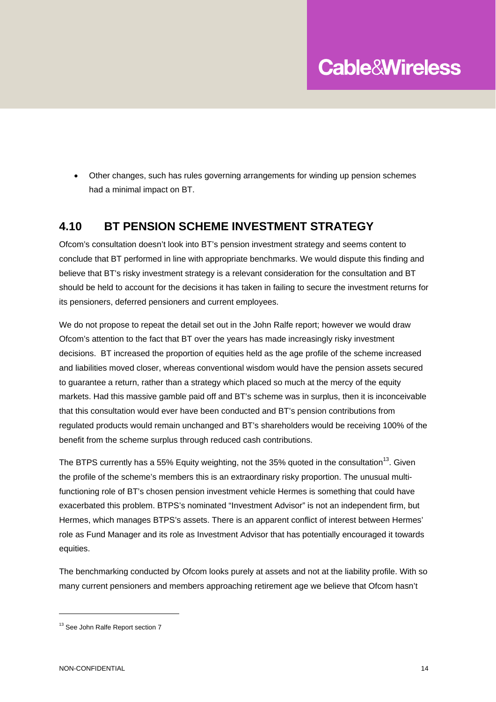• Other changes, such has rules governing arrangements for winding up pension schemes had a minimal impact on BT.

#### **4.10 BT PENSION SCHEME INVESTMENT STRATEGY**

Ofcom's consultation doesn't look into BT's pension investment strategy and seems content to conclude that BT performed in line with appropriate benchmarks. We would dispute this finding and believe that BT's risky investment strategy is a relevant consideration for the consultation and BT should be held to account for the decisions it has taken in failing to secure the investment returns for its pensioners, deferred pensioners and current employees.

We do not propose to repeat the detail set out in the John Ralfe report; however we would draw Ofcom's attention to the fact that BT over the years has made increasingly risky investment decisions. BT increased the proportion of equities held as the age profile of the scheme increased and liabilities moved closer, whereas conventional wisdom would have the pension assets secured to guarantee a return, rather than a strategy which placed so much at the mercy of the equity markets. Had this massive gamble paid off and BT's scheme was in surplus, then it is inconceivable that this consultation would ever have been conducted and BT's pension contributions from regulated products would remain unchanged and BT's shareholders would be receiving 100% of the benefit from the scheme surplus through reduced cash contributions.

The BTPS currently has a 55% Equity weighting, not the 35% quoted in the consultation<sup>13</sup>. Given the profile of the scheme's members this is an extraordinary risky proportion. The unusual multifunctioning role of BT's chosen pension investment vehicle Hermes is something that could have exacerbated this problem. BTPS's nominated "Investment Advisor" is not an independent firm, but Hermes, which manages BTPS's assets. There is an apparent conflict of interest between Hermes' role as Fund Manager and its role as Investment Advisor that has potentially encouraged it towards equities.

The benchmarking conducted by Ofcom looks purely at assets and not at the liability profile. With so many current pensioners and members approaching retirement age we believe that Ofcom hasn't

<sup>&</sup>lt;sup>13</sup> See John Ralfe Report section 7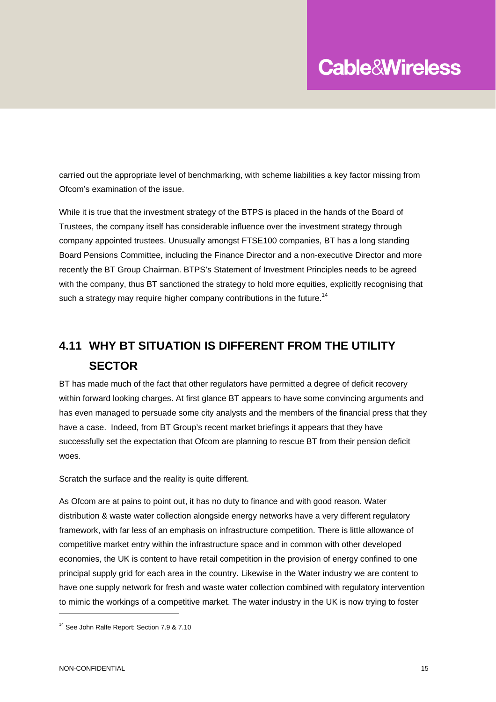carried out the appropriate level of benchmarking, with scheme liabilities a key factor missing from Ofcom's examination of the issue.

While it is true that the investment strategy of the BTPS is placed in the hands of the Board of Trustees, the company itself has considerable influence over the investment strategy through company appointed trustees. Unusually amongst FTSE100 companies, BT has a long standing Board Pensions Committee, including the Finance Director and a non-executive Director and more recently the BT Group Chairman. BTPS's Statement of Investment Principles needs to be agreed with the company, thus BT sanctioned the strategy to hold more equities, explicitly recognising that such a strategy may require higher company contributions in the future.<sup>14</sup>

### **4.11 WHY BT SITUATION IS DIFFERENT FROM THE UTILITY SECTOR**

BT has made much of the fact that other regulators have permitted a degree of deficit recovery within forward looking charges. At first glance BT appears to have some convincing arguments and has even managed to persuade some city analysts and the members of the financial press that they have a case. Indeed, from BT Group's recent market briefings it appears that they have successfully set the expectation that Ofcom are planning to rescue BT from their pension deficit woes.

Scratch the surface and the reality is quite different.

As Ofcom are at pains to point out, it has no duty to finance and with good reason. Water distribution & waste water collection alongside energy networks have a very different regulatory framework, with far less of an emphasis on infrastructure competition. There is little allowance of competitive market entry within the infrastructure space and in common with other developed economies, the UK is content to have retail competition in the provision of energy confined to one principal supply grid for each area in the country. Likewise in the Water industry we are content to have one supply network for fresh and waste water collection combined with regulatory intervention to mimic the workings of a competitive market. The water industry in the UK is now trying to foster

<sup>&</sup>lt;sup>14</sup> See John Ralfe Report: Section 7.9 & 7.10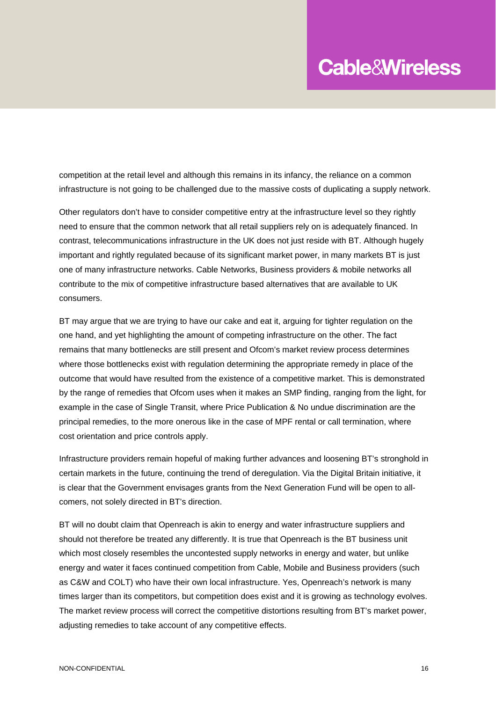competition at the retail level and although this remains in its infancy, the reliance on a common infrastructure is not going to be challenged due to the massive costs of duplicating a supply network.

Other regulators don't have to consider competitive entry at the infrastructure level so they rightly need to ensure that the common network that all retail suppliers rely on is adequately financed. In contrast, telecommunications infrastructure in the UK does not just reside with BT. Although hugely important and rightly regulated because of its significant market power, in many markets BT is just one of many infrastructure networks. Cable Networks, Business providers & mobile networks all contribute to the mix of competitive infrastructure based alternatives that are available to UK consumers.

BT may argue that we are trying to have our cake and eat it, arguing for tighter regulation on the one hand, and yet highlighting the amount of competing infrastructure on the other. The fact remains that many bottlenecks are still present and Ofcom's market review process determines where those bottlenecks exist with regulation determining the appropriate remedy in place of the outcome that would have resulted from the existence of a competitive market. This is demonstrated by the range of remedies that Ofcom uses when it makes an SMP finding, ranging from the light, for example in the case of Single Transit, where Price Publication & No undue discrimination are the principal remedies, to the more onerous like in the case of MPF rental or call termination, where cost orientation and price controls apply.

Infrastructure providers remain hopeful of making further advances and loosening BT's stronghold in certain markets in the future, continuing the trend of deregulation. Via the Digital Britain initiative, it is clear that the Government envisages grants from the Next Generation Fund will be open to allcomers, not solely directed in BT's direction.

BT will no doubt claim that Openreach is akin to energy and water infrastructure suppliers and should not therefore be treated any differently. It is true that Openreach is the BT business unit which most closely resembles the uncontested supply networks in energy and water, but unlike energy and water it faces continued competition from Cable, Mobile and Business providers (such as C&W and COLT) who have their own local infrastructure. Yes, Openreach's network is many times larger than its competitors, but competition does exist and it is growing as technology evolves. The market review process will correct the competitive distortions resulting from BT's market power, adjusting remedies to take account of any competitive effects.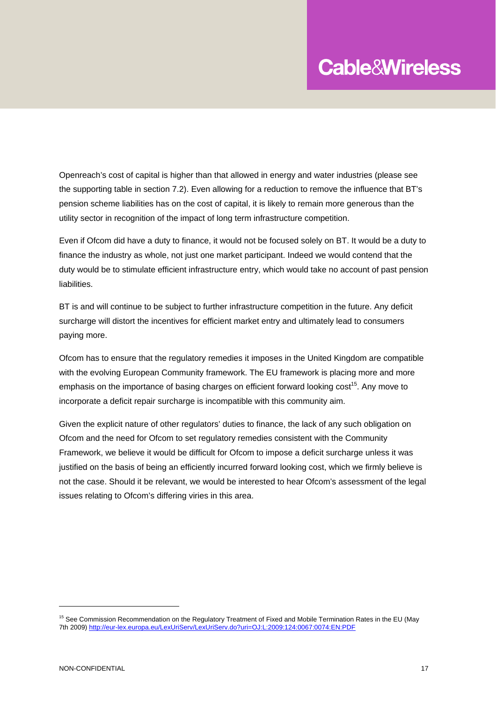Openreach's cost of capital is higher than that allowed in energy and water industries (please see the supporting table in section 7.2). Even allowing for a reduction to remove the influence that BT's pension scheme liabilities has on the cost of capital, it is likely to remain more generous than the utility sector in recognition of the impact of long term infrastructure competition.

Even if Ofcom did have a duty to finance, it would not be focused solely on BT. It would be a duty to finance the industry as whole, not just one market participant. Indeed we would contend that the duty would be to stimulate efficient infrastructure entry, which would take no account of past pension liabilities.

BT is and will continue to be subject to further infrastructure competition in the future. Any deficit surcharge will distort the incentives for efficient market entry and ultimately lead to consumers paying more.

Ofcom has to ensure that the regulatory remedies it imposes in the United Kingdom are compatible with the evolving European Community framework. The EU framework is placing more and more emphasis on the importance of basing charges on efficient forward looking cost<sup>15</sup>. Any move to incorporate a deficit repair surcharge is incompatible with this community aim.

Given the explicit nature of other regulators' duties to finance, the lack of any such obligation on Ofcom and the need for Ofcom to set regulatory remedies consistent with the Community Framework, we believe it would be difficult for Ofcom to impose a deficit surcharge unless it was justified on the basis of being an efficiently incurred forward looking cost, which we firmly believe is not the case. Should it be relevant, we would be interested to hear Ofcom's assessment of the legal issues relating to Ofcom's differing viries in this area.

 $\overline{a}$ 

<sup>&</sup>lt;sup>15</sup> See Commission Recommendation on the Regulatory Treatment of Fixed and Mobile Termination Rates in the EU (May 7th 2009) http://eur-lex.europa.eu/LexUriServ/LexUriServ.do?uri=OJ:L:2009:124:0067:0074:EN:PDF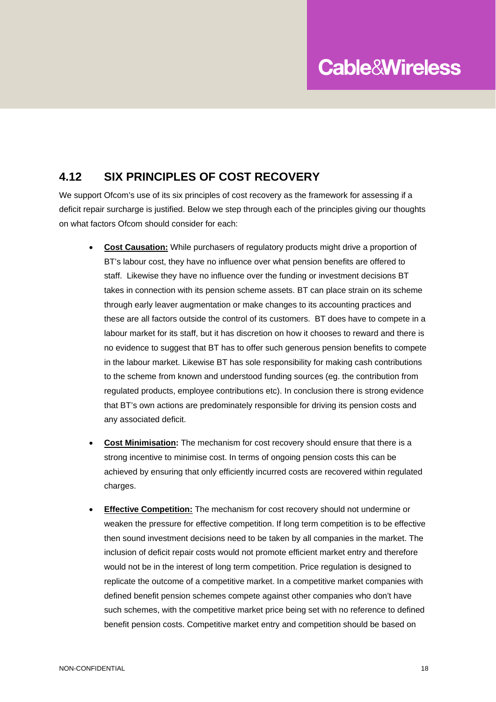#### **4.12 SIX PRINCIPLES OF COST RECOVERY**

We support Ofcom's use of its six principles of cost recovery as the framework for assessing if a deficit repair surcharge is justified. Below we step through each of the principles giving our thoughts on what factors Ofcom should consider for each:

- **Cost Causation:** While purchasers of regulatory products might drive a proportion of BT's labour cost, they have no influence over what pension benefits are offered to staff. Likewise they have no influence over the funding or investment decisions BT takes in connection with its pension scheme assets. BT can place strain on its scheme through early leaver augmentation or make changes to its accounting practices and these are all factors outside the control of its customers. BT does have to compete in a labour market for its staff, but it has discretion on how it chooses to reward and there is no evidence to suggest that BT has to offer such generous pension benefits to compete in the labour market. Likewise BT has sole responsibility for making cash contributions to the scheme from known and understood funding sources (eg. the contribution from regulated products, employee contributions etc). In conclusion there is strong evidence that BT's own actions are predominately responsible for driving its pension costs and any associated deficit.
- **Cost Minimisation:** The mechanism for cost recovery should ensure that there is a strong incentive to minimise cost. In terms of ongoing pension costs this can be achieved by ensuring that only efficiently incurred costs are recovered within regulated charges.
- **Effective Competition:** The mechanism for cost recovery should not undermine or weaken the pressure for effective competition. If long term competition is to be effective then sound investment decisions need to be taken by all companies in the market. The inclusion of deficit repair costs would not promote efficient market entry and therefore would not be in the interest of long term competition. Price regulation is designed to replicate the outcome of a competitive market. In a competitive market companies with defined benefit pension schemes compete against other companies who don't have such schemes, with the competitive market price being set with no reference to defined benefit pension costs. Competitive market entry and competition should be based on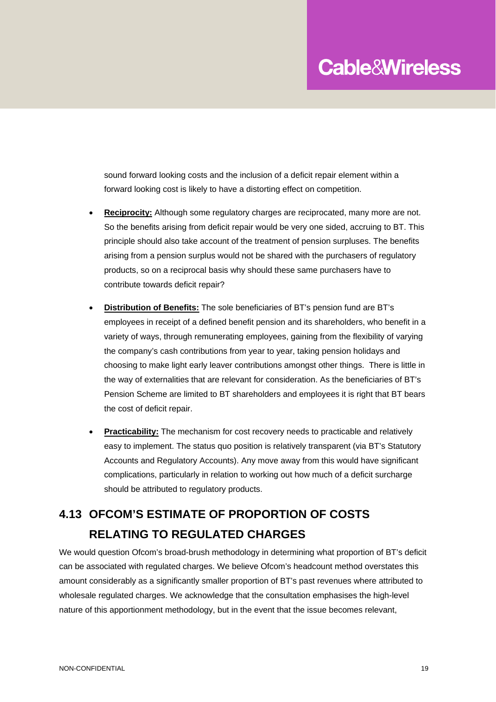sound forward looking costs and the inclusion of a deficit repair element within a forward looking cost is likely to have a distorting effect on competition.

- **Reciprocity:** Although some regulatory charges are reciprocated, many more are not. So the benefits arising from deficit repair would be very one sided, accruing to BT. This principle should also take account of the treatment of pension surpluses. The benefits arising from a pension surplus would not be shared with the purchasers of regulatory products, so on a reciprocal basis why should these same purchasers have to contribute towards deficit repair?
- **Distribution of Benefits:** The sole beneficiaries of BT's pension fund are BT's employees in receipt of a defined benefit pension and its shareholders, who benefit in a variety of ways, through remunerating employees, gaining from the flexibility of varying the company's cash contributions from year to year, taking pension holidays and choosing to make light early leaver contributions amongst other things. There is little in the way of externalities that are relevant for consideration. As the beneficiaries of BT's Pension Scheme are limited to BT shareholders and employees it is right that BT bears the cost of deficit repair.
- **Practicability:** The mechanism for cost recovery needs to practicable and relatively easy to implement. The status quo position is relatively transparent (via BT's Statutory Accounts and Regulatory Accounts). Any move away from this would have significant complications, particularly in relation to working out how much of a deficit surcharge should be attributed to regulatory products.

## **4.13 OFCOM'S ESTIMATE OF PROPORTION OF COSTS RELATING TO REGULATED CHARGES**

We would question Ofcom's broad-brush methodology in determining what proportion of BT's deficit can be associated with regulated charges. We believe Ofcom's headcount method overstates this amount considerably as a significantly smaller proportion of BT's past revenues where attributed to wholesale regulated charges. We acknowledge that the consultation emphasises the high-level nature of this apportionment methodology, but in the event that the issue becomes relevant,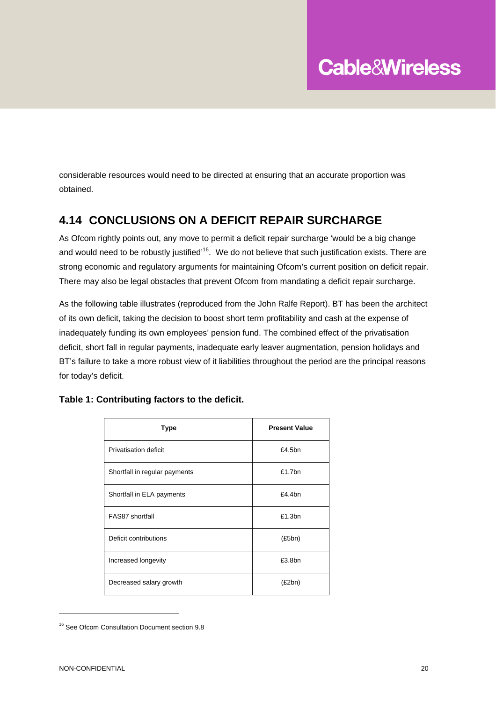considerable resources would need to be directed at ensuring that an accurate proportion was obtained.

#### **4.14 CONCLUSIONS ON A DEFICIT REPAIR SURCHARGE**

As Ofcom rightly points out, any move to permit a deficit repair surcharge 'would be a big change and would need to be robustly justified"<sup>16</sup>. We do not believe that such justification exists. There are strong economic and regulatory arguments for maintaining Ofcom's current position on deficit repair. There may also be legal obstacles that prevent Ofcom from mandating a deficit repair surcharge.

As the following table illustrates (reproduced from the John Ralfe Report). BT has been the architect of its own deficit, taking the decision to boost short term profitability and cash at the expense of inadequately funding its own employees' pension fund. The combined effect of the privatisation deficit, short fall in regular payments, inadequate early leaver augmentation, pension holidays and BT's failure to take a more robust view of it liabilities throughout the period are the principal reasons for today's deficit.

| <b>Type</b>                   | <b>Present Value</b> |
|-------------------------------|----------------------|
| Privatisation deficit         | £4.5bn               |
| Shortfall in regular payments | $£1.7$ bn            |
| Shortfall in ELA payments     | £4.4bn               |
| FAS87 shortfall               | £1.3bn               |
| Deficit contributions         | (E5bn)               |
| Increased longevity           | £3.8bn               |
| Decreased salary growth       | (E2bn)               |

#### **Table 1: Contributing factors to the deficit.**

<sup>&</sup>lt;sup>16</sup> See Ofcom Consultation Document section 9.8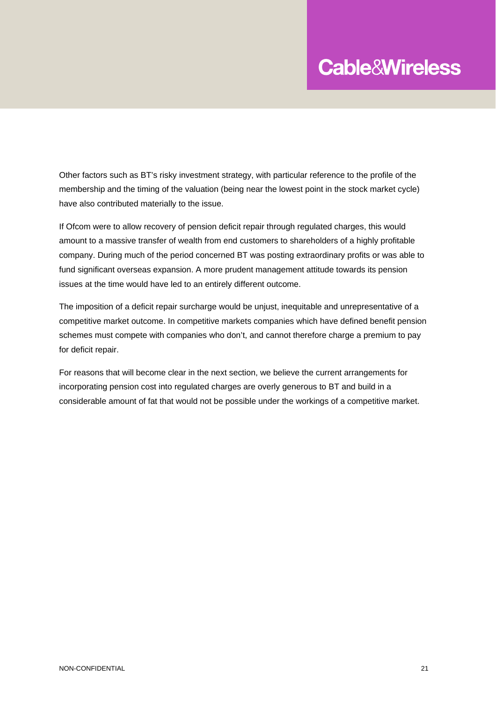Other factors such as BT's risky investment strategy, with particular reference to the profile of the membership and the timing of the valuation (being near the lowest point in the stock market cycle) have also contributed materially to the issue.

If Ofcom were to allow recovery of pension deficit repair through regulated charges, this would amount to a massive transfer of wealth from end customers to shareholders of a highly profitable company. During much of the period concerned BT was posting extraordinary profits or was able to fund significant overseas expansion. A more prudent management attitude towards its pension issues at the time would have led to an entirely different outcome.

The imposition of a deficit repair surcharge would be unjust, inequitable and unrepresentative of a competitive market outcome. In competitive markets companies which have defined benefit pension schemes must compete with companies who don't, and cannot therefore charge a premium to pay for deficit repair.

For reasons that will become clear in the next section, we believe the current arrangements for incorporating pension cost into regulated charges are overly generous to BT and build in a considerable amount of fat that would not be possible under the workings of a competitive market.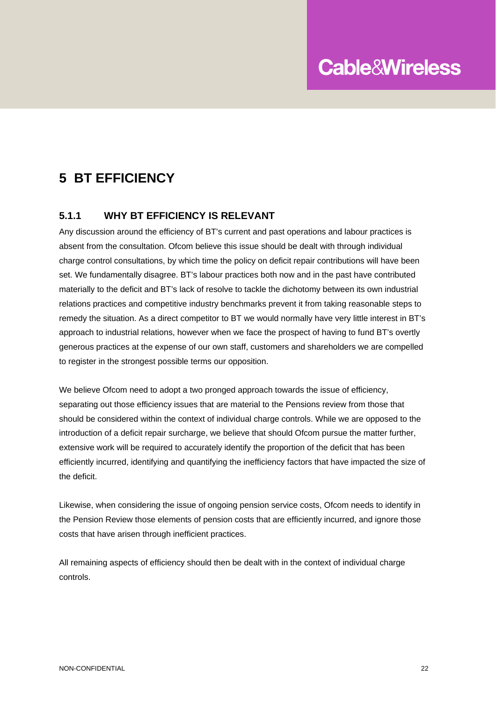## **5 BT EFFICIENCY**

#### **5.1.1 WHY BT EFFICIENCY IS RELEVANT**

Any discussion around the efficiency of BT's current and past operations and labour practices is absent from the consultation. Ofcom believe this issue should be dealt with through individual charge control consultations, by which time the policy on deficit repair contributions will have been set. We fundamentally disagree. BT's labour practices both now and in the past have contributed materially to the deficit and BT's lack of resolve to tackle the dichotomy between its own industrial relations practices and competitive industry benchmarks prevent it from taking reasonable steps to remedy the situation. As a direct competitor to BT we would normally have very little interest in BT's approach to industrial relations, however when we face the prospect of having to fund BT's overtly generous practices at the expense of our own staff, customers and shareholders we are compelled to register in the strongest possible terms our opposition.

We believe Ofcom need to adopt a two pronged approach towards the issue of efficiency, separating out those efficiency issues that are material to the Pensions review from those that should be considered within the context of individual charge controls. While we are opposed to the introduction of a deficit repair surcharge, we believe that should Ofcom pursue the matter further, extensive work will be required to accurately identify the proportion of the deficit that has been efficiently incurred, identifying and quantifying the inefficiency factors that have impacted the size of the deficit.

Likewise, when considering the issue of ongoing pension service costs, Ofcom needs to identify in the Pension Review those elements of pension costs that are efficiently incurred, and ignore those costs that have arisen through inefficient practices.

All remaining aspects of efficiency should then be dealt with in the context of individual charge controls.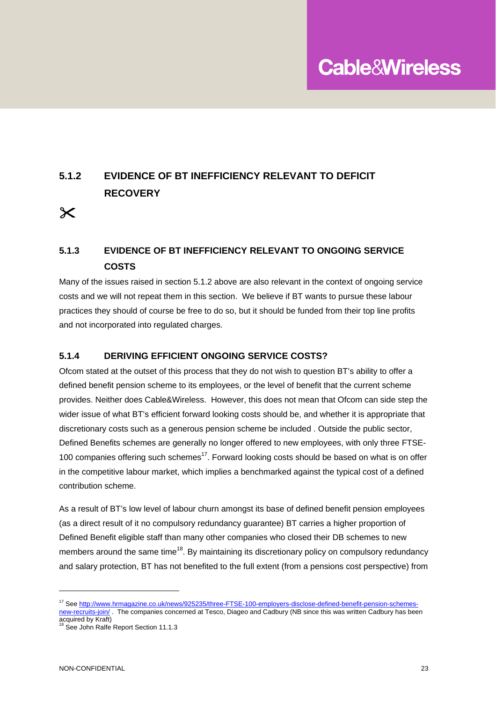### **5.1.2 EVIDENCE OF BT INEFFICIENCY RELEVANT TO DEFICIT RECOVERY**

 $\boldsymbol{\times}$ 

#### **5.1.3 EVIDENCE OF BT INEFFICIENCY RELEVANT TO ONGOING SERVICE COSTS**

Many of the issues raised in section 5.1.2 above are also relevant in the context of ongoing service costs and we will not repeat them in this section. We believe if BT wants to pursue these labour practices they should of course be free to do so, but it should be funded from their top line profits and not incorporated into regulated charges.

#### **5.1.4 DERIVING EFFICIENT ONGOING SERVICE COSTS?**

Ofcom stated at the outset of this process that they do not wish to question BT's ability to offer a defined benefit pension scheme to its employees, or the level of benefit that the current scheme provides. Neither does Cable&Wireless. However, this does not mean that Ofcom can side step the wider issue of what BT's efficient forward looking costs should be, and whether it is appropriate that discretionary costs such as a generous pension scheme be included . Outside the public sector, Defined Benefits schemes are generally no longer offered to new employees, with only three FTSE-100 companies offering such schemes<sup>17</sup>. Forward looking costs should be based on what is on offer in the competitive labour market, which implies a benchmarked against the typical cost of a defined contribution scheme.

As a result of BT's low level of labour churn amongst its base of defined benefit pension employees (as a direct result of it no compulsory redundancy guarantee) BT carries a higher proportion of Defined Benefit eligible staff than many other companies who closed their DB schemes to new members around the same time<sup>18</sup>. By maintaining its discretionary policy on compulsory redundancy and salary protection, BT has not benefited to the full extent (from a pensions cost perspective) from

 $\overline{a}$ 

<sup>17</sup> See http://www.hrmagazine.co.uk/news/925235/three-FTSE-100-employers-disclose-defined-benefit-pension-schemesnew-recruits-join/ . The companies concerned at Tesco, Diageo and Cadbury (NB since this was written Cadbury has been

acquired by Kraft)<br><sup>18</sup> See John Ralfe Report Section 11.1.3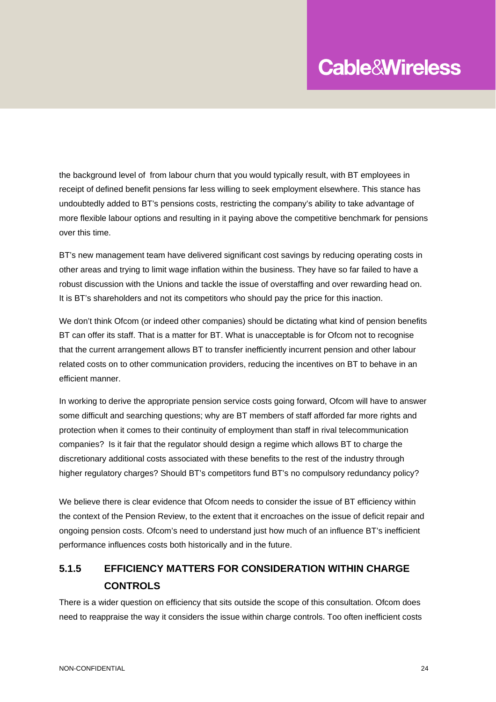the background level of from labour churn that you would typically result, with BT employees in receipt of defined benefit pensions far less willing to seek employment elsewhere. This stance has undoubtedly added to BT's pensions costs, restricting the company's ability to take advantage of more flexible labour options and resulting in it paying above the competitive benchmark for pensions over this time.

BT's new management team have delivered significant cost savings by reducing operating costs in other areas and trying to limit wage inflation within the business. They have so far failed to have a robust discussion with the Unions and tackle the issue of overstaffing and over rewarding head on. It is BT's shareholders and not its competitors who should pay the price for this inaction.

We don't think Ofcom (or indeed other companies) should be dictating what kind of pension benefits BT can offer its staff. That is a matter for BT. What is unacceptable is for Ofcom not to recognise that the current arrangement allows BT to transfer inefficiently incurrent pension and other labour related costs on to other communication providers, reducing the incentives on BT to behave in an efficient manner.

In working to derive the appropriate pension service costs going forward, Ofcom will have to answer some difficult and searching questions; why are BT members of staff afforded far more rights and protection when it comes to their continuity of employment than staff in rival telecommunication companies? Is it fair that the regulator should design a regime which allows BT to charge the discretionary additional costs associated with these benefits to the rest of the industry through higher regulatory charges? Should BT's competitors fund BT's no compulsory redundancy policy?

We believe there is clear evidence that Ofcom needs to consider the issue of BT efficiency within the context of the Pension Review, to the extent that it encroaches on the issue of deficit repair and ongoing pension costs. Ofcom's need to understand just how much of an influence BT's inefficient performance influences costs both historically and in the future.

#### **5.1.5 EFFICIENCY MATTERS FOR CONSIDERATION WITHIN CHARGE CONTROLS**

There is a wider question on efficiency that sits outside the scope of this consultation. Ofcom does need to reappraise the way it considers the issue within charge controls. Too often inefficient costs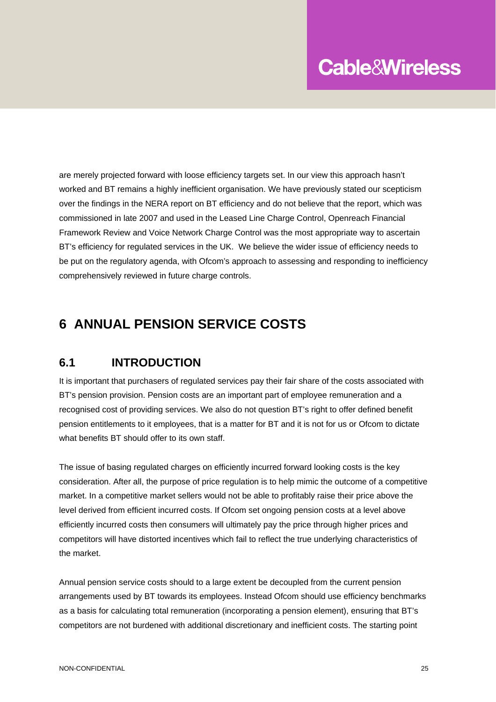are merely projected forward with loose efficiency targets set. In our view this approach hasn't worked and BT remains a highly inefficient organisation. We have previously stated our scepticism over the findings in the NERA report on BT efficiency and do not believe that the report, which was commissioned in late 2007 and used in the Leased Line Charge Control, Openreach Financial Framework Review and Voice Network Charge Control was the most appropriate way to ascertain BT's efficiency for regulated services in the UK. We believe the wider issue of efficiency needs to be put on the regulatory agenda, with Ofcom's approach to assessing and responding to inefficiency comprehensively reviewed in future charge controls.

### **6 ANNUAL PENSION SERVICE COSTS**

#### **6.1 INTRODUCTION**

It is important that purchasers of regulated services pay their fair share of the costs associated with BT's pension provision. Pension costs are an important part of employee remuneration and a recognised cost of providing services. We also do not question BT's right to offer defined benefit pension entitlements to it employees, that is a matter for BT and it is not for us or Ofcom to dictate what benefits BT should offer to its own staff.

The issue of basing regulated charges on efficiently incurred forward looking costs is the key consideration. After all, the purpose of price regulation is to help mimic the outcome of a competitive market. In a competitive market sellers would not be able to profitably raise their price above the level derived from efficient incurred costs. If Ofcom set ongoing pension costs at a level above efficiently incurred costs then consumers will ultimately pay the price through higher prices and competitors will have distorted incentives which fail to reflect the true underlying characteristics of the market.

Annual pension service costs should to a large extent be decoupled from the current pension arrangements used by BT towards its employees. Instead Ofcom should use efficiency benchmarks as a basis for calculating total remuneration (incorporating a pension element), ensuring that BT's competitors are not burdened with additional discretionary and inefficient costs. The starting point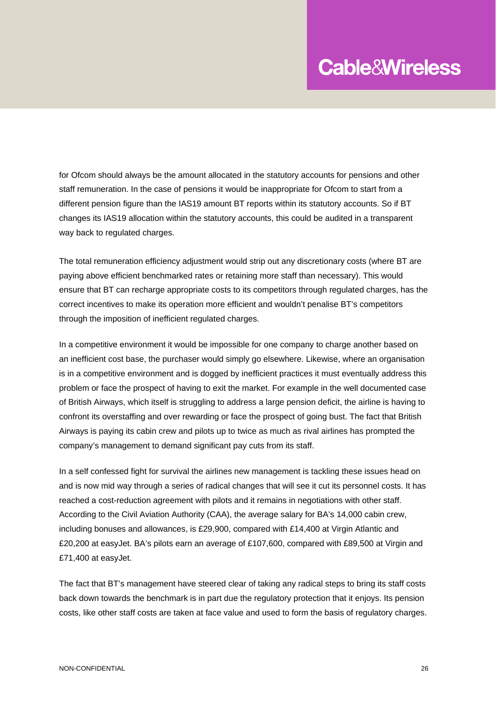for Ofcom should always be the amount allocated in the statutory accounts for pensions and other staff remuneration. In the case of pensions it would be inappropriate for Ofcom to start from a different pension figure than the IAS19 amount BT reports within its statutory accounts. So if BT changes its IAS19 allocation within the statutory accounts, this could be audited in a transparent way back to regulated charges.

The total remuneration efficiency adjustment would strip out any discretionary costs (where BT are paying above efficient benchmarked rates or retaining more staff than necessary). This would ensure that BT can recharge appropriate costs to its competitors through regulated charges, has the correct incentives to make its operation more efficient and wouldn't penalise BT's competitors through the imposition of inefficient regulated charges.

In a competitive environment it would be impossible for one company to charge another based on an inefficient cost base, the purchaser would simply go elsewhere. Likewise, where an organisation is in a competitive environment and is dogged by inefficient practices it must eventually address this problem or face the prospect of having to exit the market. For example in the well documented case of British Airways, which itself is struggling to address a large pension deficit, the airline is having to confront its overstaffing and over rewarding or face the prospect of going bust. The fact that British Airways is paying its cabin crew and pilots up to twice as much as rival airlines has prompted the company's management to demand significant pay cuts from its staff.

In a self confessed fight for survival the airlines new management is tackling these issues head on and is now mid way through a series of radical changes that will see it cut its personnel costs. It has reached a cost-reduction agreement with pilots and it remains in negotiations with other staff. According to the Civil Aviation Authority (CAA), the average salary for BA's 14,000 cabin crew, including bonuses and allowances, is £29,900, compared with £14,400 at Virgin Atlantic and £20,200 at easyJet. BA's pilots earn an average of £107,600, compared with £89,500 at Virgin and £71,400 at easyJet.

The fact that BT's management have steered clear of taking any radical steps to bring its staff costs back down towards the benchmark is in part due the regulatory protection that it enjoys. Its pension costs, like other staff costs are taken at face value and used to form the basis of regulatory charges.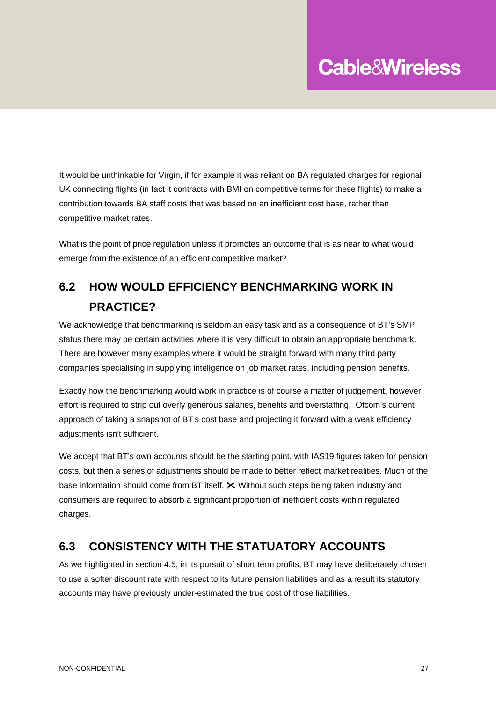It would be unthinkable for Virgin, if for example it was reliant on BA regulated charges for regional UK connecting flights (in fact it contracts with BMI on competitive terms for these flights) to make a contribution towards BA staff costs that was based on an inefficient cost base, rather than competitive market rates.

What is the point of price regulation unless it promotes an outcome that is as near to what would emerge from the existence of an efficient competitive market?

## **6.2 HOW WOULD EFFICIENCY BENCHMARKING WORK IN PRACTICE?**

We acknowledge that benchmarking is seldom an easy task and as a consequence of BT's SMP status there may be certain activities where it is very difficult to obtain an appropriate benchmark. There are however many examples where it would be straight forward with many third party companies specialising in supplying inteligence on job market rates, including pension benefits.

Exactly how the benchmarking would work in practice is of course a matter of judgement, however effort is required to strip out overly generous salaries, benefits and overstaffing. Ofcom's current approach of taking a snapshot of BT's cost base and projecting it forward with a weak efficiency adjustments isn't sufficient.

We accept that BT's own accounts should be the starting point, with IAS19 figures taken for pension costs, but then a series of adjustments should be made to better reflect market realities. Much of the base information should come from BT itself,  $\chi$  Without such steps being taken industry and consumers are required to absorb a significant proportion of inefficient costs within regulated charges.

#### **6.3 CONSISTENCY WITH THE STATUATORY ACCOUNTS**

As we highlighted in section 4.5, in its pursuit of short term profits, BT may have deliberately chosen to use a softer discount rate with respect to its future pension liabilities and as a result its statutory accounts may have previously under-estimated the true cost of those liabilities.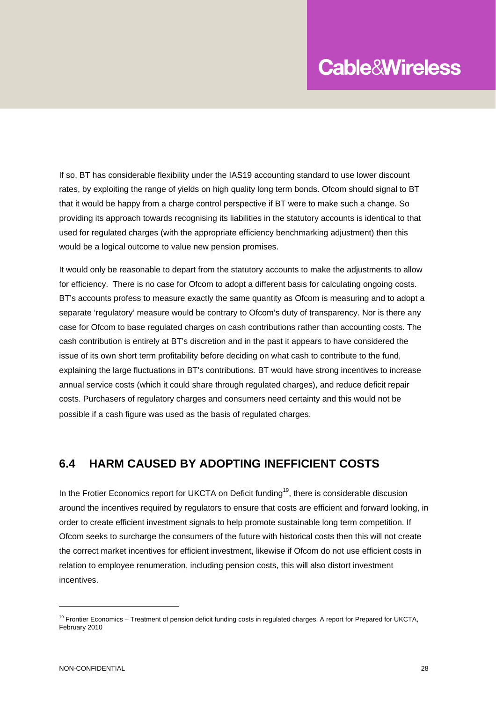If so, BT has considerable flexibility under the IAS19 accounting standard to use lower discount rates, by exploiting the range of yields on high quality long term bonds. Ofcom should signal to BT that it would be happy from a charge control perspective if BT were to make such a change. So providing its approach towards recognising its liabilities in the statutory accounts is identical to that used for regulated charges (with the appropriate efficiency benchmarking adjustment) then this would be a logical outcome to value new pension promises.

It would only be reasonable to depart from the statutory accounts to make the adjustments to allow for efficiency. There is no case for Ofcom to adopt a different basis for calculating ongoing costs. BT's accounts profess to measure exactly the same quantity as Ofcom is measuring and to adopt a separate 'regulatory' measure would be contrary to Ofcom's duty of transparency. Nor is there any case for Ofcom to base regulated charges on cash contributions rather than accounting costs. The cash contribution is entirely at BT's discretion and in the past it appears to have considered the issue of its own short term profitability before deciding on what cash to contribute to the fund, explaining the large fluctuations in BT's contributions. BT would have strong incentives to increase annual service costs (which it could share through regulated charges), and reduce deficit repair costs. Purchasers of regulatory charges and consumers need certainty and this would not be possible if a cash figure was used as the basis of regulated charges.

#### **6.4 HARM CAUSED BY ADOPTING INEFFICIENT COSTS**

In the Frotier Economics report for UKCTA on Deficit funding<sup>19</sup>, there is considerable discusion around the incentives required by regulators to ensure that costs are efficient and forward looking, in order to create efficient investment signals to help promote sustainable long term competition. If Ofcom seeks to surcharge the consumers of the future with historical costs then this will not create the correct market incentives for efficient investment, likewise if Ofcom do not use efficient costs in relation to employee renumeration, including pension costs, this will also distort investment incentives.

 $\overline{a}$ 

<sup>&</sup>lt;sup>19</sup> Frontier Economics – Treatment of pension deficit funding costs in regulated charges. A report for Prepared for UKCTA, February 2010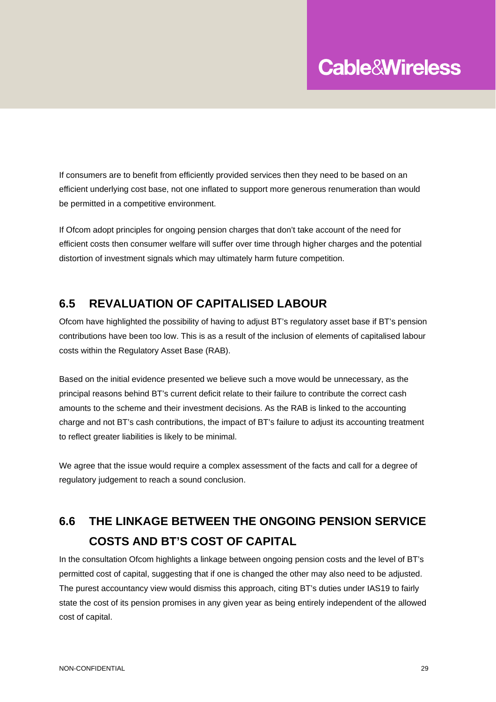If consumers are to benefit from efficiently provided services then they need to be based on an efficient underlying cost base, not one inflated to support more generous renumeration than would be permitted in a competitive environment.

If Ofcom adopt principles for ongoing pension charges that don't take account of the need for efficient costs then consumer welfare will suffer over time through higher charges and the potential distortion of investment signals which may ultimately harm future competition.

#### **6.5 REVALUATION OF CAPITALISED LABOUR**

Ofcom have highlighted the possibility of having to adjust BT's regulatory asset base if BT's pension contributions have been too low. This is as a result of the inclusion of elements of capitalised labour costs within the Regulatory Asset Base (RAB).

Based on the initial evidence presented we believe such a move would be unnecessary, as the principal reasons behind BT's current deficit relate to their failure to contribute the correct cash amounts to the scheme and their investment decisions. As the RAB is linked to the accounting charge and not BT's cash contributions, the impact of BT's failure to adjust its accounting treatment to reflect greater liabilities is likely to be minimal.

We agree that the issue would require a complex assessment of the facts and call for a degree of regulatory judgement to reach a sound conclusion.

## **6.6 THE LINKAGE BETWEEN THE ONGOING PENSION SERVICE COSTS AND BT'S COST OF CAPITAL**

In the consultation Ofcom highlights a linkage between ongoing pension costs and the level of BT's permitted cost of capital, suggesting that if one is changed the other may also need to be adjusted. The purest accountancy view would dismiss this approach, citing BT's duties under IAS19 to fairly state the cost of its pension promises in any given year as being entirely independent of the allowed cost of capital.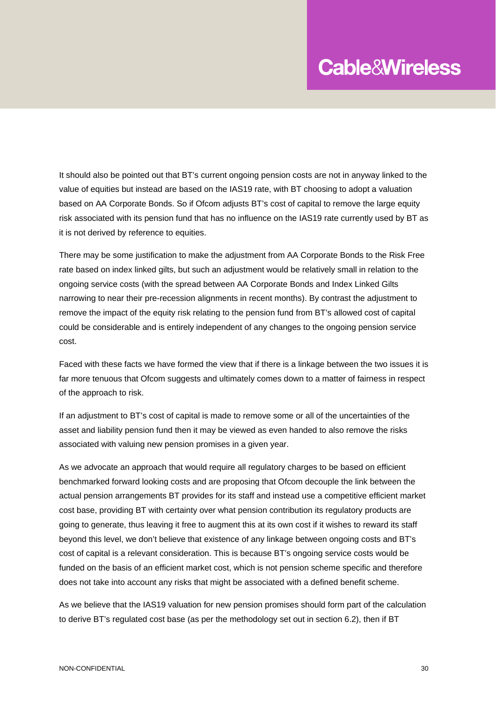It should also be pointed out that BT's current ongoing pension costs are not in anyway linked to the value of equities but instead are based on the IAS19 rate, with BT choosing to adopt a valuation based on AA Corporate Bonds. So if Ofcom adjusts BT's cost of capital to remove the large equity risk associated with its pension fund that has no influence on the IAS19 rate currently used by BT as it is not derived by reference to equities.

There may be some justification to make the adjustment from AA Corporate Bonds to the Risk Free rate based on index linked gilts, but such an adjustment would be relatively small in relation to the ongoing service costs (with the spread between AA Corporate Bonds and Index Linked Gilts narrowing to near their pre-recession alignments in recent months). By contrast the adjustment to remove the impact of the equity risk relating to the pension fund from BT's allowed cost of capital could be considerable and is entirely independent of any changes to the ongoing pension service cost.

Faced with these facts we have formed the view that if there is a linkage between the two issues it is far more tenuous that Ofcom suggests and ultimately comes down to a matter of fairness in respect of the approach to risk.

If an adjustment to BT's cost of capital is made to remove some or all of the uncertainties of the asset and liability pension fund then it may be viewed as even handed to also remove the risks associated with valuing new pension promises in a given year.

As we advocate an approach that would require all regulatory charges to be based on efficient benchmarked forward looking costs and are proposing that Ofcom decouple the link between the actual pension arrangements BT provides for its staff and instead use a competitive efficient market cost base, providing BT with certainty over what pension contribution its regulatory products are going to generate, thus leaving it free to augment this at its own cost if it wishes to reward its staff beyond this level, we don't believe that existence of any linkage between ongoing costs and BT's cost of capital is a relevant consideration. This is because BT's ongoing service costs would be funded on the basis of an efficient market cost, which is not pension scheme specific and therefore does not take into account any risks that might be associated with a defined benefit scheme.

As we believe that the IAS19 valuation for new pension promises should form part of the calculation to derive BT's regulated cost base (as per the methodology set out in section 6.2), then if BT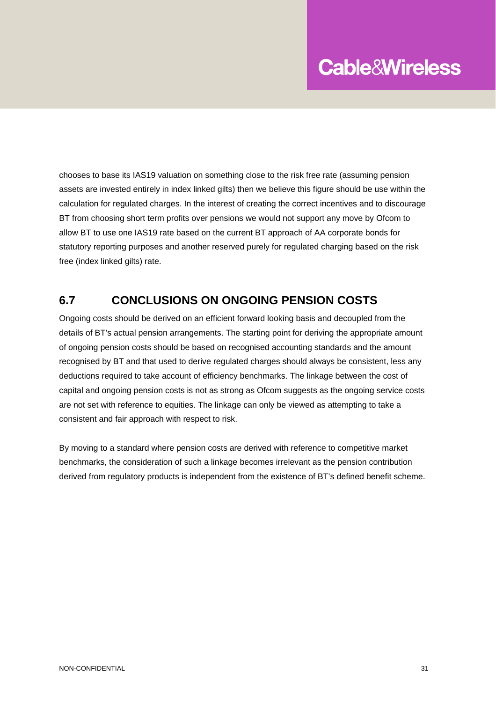chooses to base its IAS19 valuation on something close to the risk free rate (assuming pension assets are invested entirely in index linked gilts) then we believe this figure should be use within the calculation for regulated charges. In the interest of creating the correct incentives and to discourage BT from choosing short term profits over pensions we would not support any move by Ofcom to allow BT to use one IAS19 rate based on the current BT approach of AA corporate bonds for statutory reporting purposes and another reserved purely for regulated charging based on the risk free (index linked gilts) rate.

#### **6.7 CONCLUSIONS ON ONGOING PENSION COSTS**

Ongoing costs should be derived on an efficient forward looking basis and decoupled from the details of BT's actual pension arrangements. The starting point for deriving the appropriate amount of ongoing pension costs should be based on recognised accounting standards and the amount recognised by BT and that used to derive regulated charges should always be consistent, less any deductions required to take account of efficiency benchmarks. The linkage between the cost of capital and ongoing pension costs is not as strong as Ofcom suggests as the ongoing service costs are not set with reference to equities. The linkage can only be viewed as attempting to take a consistent and fair approach with respect to risk.

By moving to a standard where pension costs are derived with reference to competitive market benchmarks, the consideration of such a linkage becomes irrelevant as the pension contribution derived from regulatory products is independent from the existence of BT's defined benefit scheme.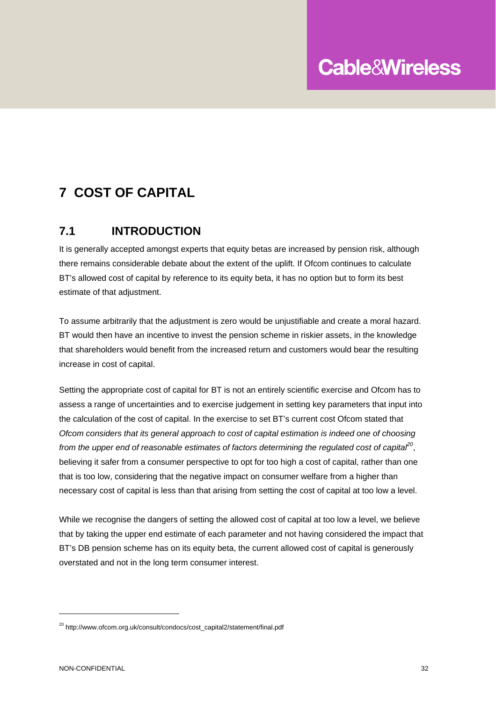## **7 COST OF CAPITAL**

#### **7.1 INTRODUCTION**

It is generally accepted amongst experts that equity betas are increased by pension risk, although there remains considerable debate about the extent of the uplift. If Ofcom continues to calculate BT's allowed cost of capital by reference to its equity beta, it has no option but to form its best estimate of that adjustment.

To assume arbitrarily that the adjustment is zero would be unjustifiable and create a moral hazard. BT would then have an incentive to invest the pension scheme in riskier assets, in the knowledge that shareholders would benefit from the increased return and customers would bear the resulting increase in cost of capital.

Setting the appropriate cost of capital for BT is not an entirely scientific exercise and Ofcom has to assess a range of uncertainties and to exercise judgement in setting key parameters that input into the calculation of the cost of capital. In the exercise to set BT's current cost Ofcom stated that *Ofcom considers that its general approach to cost of capital estimation is indeed one of choosing from the upper end of reasonable estimates of factors determining the regulated cost of capital<sup>20</sup>*, believing it safer from a consumer perspective to opt for too high a cost of capital, rather than one that is too low, considering that the negative impact on consumer welfare from a higher than necessary cost of capital is less than that arising from setting the cost of capital at too low a level.

While we recognise the dangers of setting the allowed cost of capital at too low a level, we believe that by taking the upper end estimate of each parameter and not having considered the impact that BT's DB pension scheme has on its equity beta, the current allowed cost of capital is generously overstated and not in the long term consumer interest.

<sup>&</sup>lt;sup>20</sup> http://www.ofcom.org.uk/consult/condocs/cost\_capital2/statement/final.pdf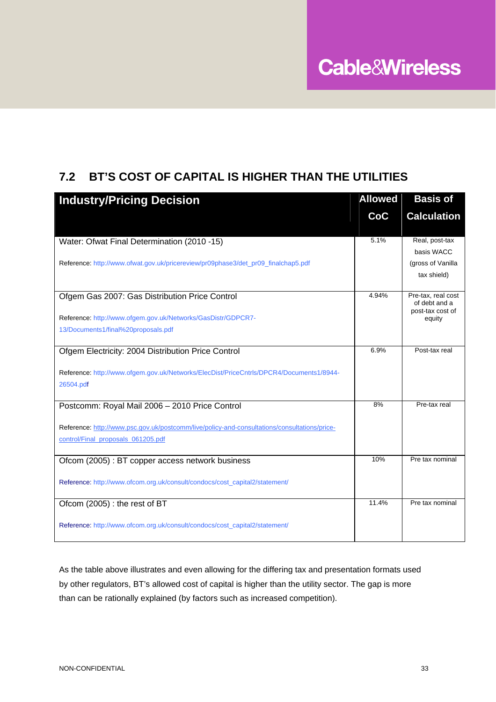### **7.2 BT'S COST OF CAPITAL IS HIGHER THAN THE UTILITIES**

| <b>Industry/Pricing Decision</b>                                                                     |       | <b>Basis of</b>                                         |
|------------------------------------------------------------------------------------------------------|-------|---------------------------------------------------------|
|                                                                                                      | CoC   | <b>Calculation</b>                                      |
| Water: Ofwat Final Determination (2010 -15)                                                          | 5.1%  | Real, post-tax                                          |
|                                                                                                      |       | basis WACC                                              |
| Reference: http://www.ofwat.gov.uk/pricereview/pr09phase3/det_pr09_finalchap5.pdf                    |       | (gross of Vanilla                                       |
|                                                                                                      |       | tax shield)                                             |
| Ofgem Gas 2007: Gas Distribution Price Control                                                       | 4.94% | Pre-tax, real cost<br>of debt and a<br>post-tax cost of |
| Reference: http://www.ofgem.gov.uk/Networks/GasDistr/GDPCR7-                                         |       | equity                                                  |
| 13/Documents1/final%20proposals.pdf                                                                  |       |                                                         |
| Ofgem Electricity: 2004 Distribution Price Control                                                   | 6.9%  | Post-tax real                                           |
| Reference: http://www.ofgem.gov.uk/Networks/ElecDist/PriceCntrls/DPCR4/Documents1/8944-<br>26504.pdf |       |                                                         |
| Postcomm: Royal Mail 2006 - 2010 Price Control                                                       | 8%    | Pre-tax real                                            |
| Reference: http://www.psc.gov.uk/postcomm/live/policy-and-consultations/consultations/price-         |       |                                                         |
| control/Final_proposals_061205.pdf                                                                   |       |                                                         |
| Ofcom (2005) : BT copper access network business                                                     | 10%   | Pre tax nominal                                         |
| Reference: http://www.ofcom.org.uk/consult/condocs/cost_capital2/statement/                          |       |                                                         |
| Ofcom (2005) : the rest of BT                                                                        | 11.4% | Pre tax nominal                                         |
| Reference: http://www.ofcom.org.uk/consult/condocs/cost_capital2/statement/                          |       |                                                         |

As the table above illustrates and even allowing for the differing tax and presentation formats used by other regulators, BT's allowed cost of capital is higher than the utility sector. The gap is more than can be rationally explained (by factors such as increased competition).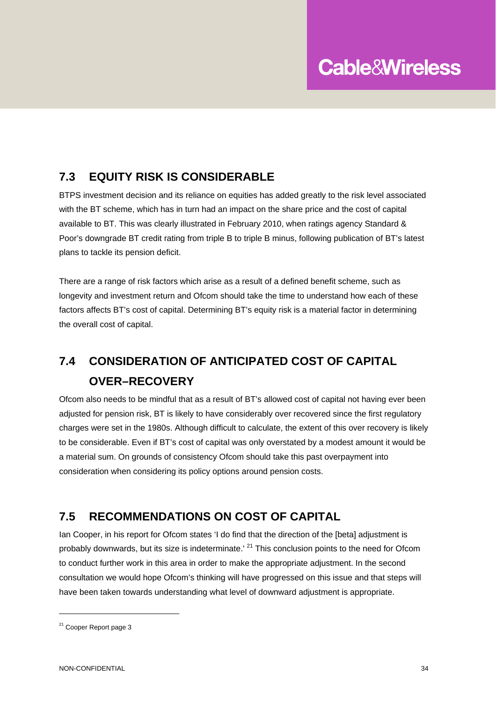#### **7.3 EQUITY RISK IS CONSIDERABLE**

BTPS investment decision and its reliance on equities has added greatly to the risk level associated with the BT scheme, which has in turn had an impact on the share price and the cost of capital available to BT. This was clearly illustrated in February 2010, when ratings agency Standard & Poor's downgrade BT credit rating from triple B to triple B minus, following publication of BT's latest plans to tackle its pension deficit.

There are a range of risk factors which arise as a result of a defined benefit scheme, such as longevity and investment return and Ofcom should take the time to understand how each of these factors affects BT's cost of capital. Determining BT's equity risk is a material factor in determining the overall cost of capital.

## **7.4 CONSIDERATION OF ANTICIPATED COST OF CAPITAL OVER–RECOVERY**

Ofcom also needs to be mindful that as a result of BT's allowed cost of capital not having ever been adjusted for pension risk, BT is likely to have considerably over recovered since the first regulatory charges were set in the 1980s. Although difficult to calculate, the extent of this over recovery is likely to be considerable. Even if BT's cost of capital was only overstated by a modest amount it would be a material sum. On grounds of consistency Ofcom should take this past overpayment into consideration when considering its policy options around pension costs.

#### **7.5 RECOMMENDATIONS ON COST OF CAPITAL**

Ian Cooper, in his report for Ofcom states 'I do find that the direction of the [beta] adjustment is probably downwards, but its size is indeterminate.<sup>' 21</sup> This conclusion points to the need for Ofcom to conduct further work in this area in order to make the appropriate adjustment. In the second consultation we would hope Ofcom's thinking will have progressed on this issue and that steps will have been taken towards understanding what level of downward adjustment is appropriate.

<sup>&</sup>lt;sup>21</sup> Cooper Report page 3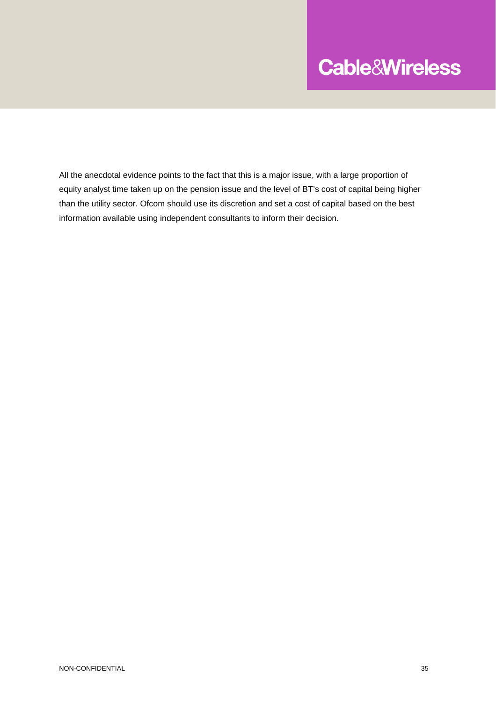All the anecdotal evidence points to the fact that this is a major issue, with a large proportion of equity analyst time taken up on the pension issue and the level of BT's cost of capital being higher than the utility sector. Ofcom should use its discretion and set a cost of capital based on the best information available using independent consultants to inform their decision.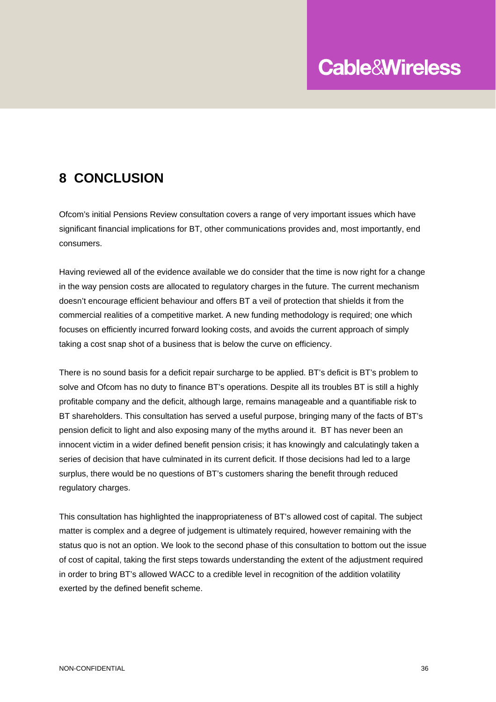### **8 CONCLUSION**

Ofcom's initial Pensions Review consultation covers a range of very important issues which have significant financial implications for BT, other communications provides and, most importantly, end consumers.

Having reviewed all of the evidence available we do consider that the time is now right for a change in the way pension costs are allocated to regulatory charges in the future. The current mechanism doesn't encourage efficient behaviour and offers BT a veil of protection that shields it from the commercial realities of a competitive market. A new funding methodology is required; one which focuses on efficiently incurred forward looking costs, and avoids the current approach of simply taking a cost snap shot of a business that is below the curve on efficiency.

There is no sound basis for a deficit repair surcharge to be applied. BT's deficit is BT's problem to solve and Ofcom has no duty to finance BT's operations. Despite all its troubles BT is still a highly profitable company and the deficit, although large, remains manageable and a quantifiable risk to BT shareholders. This consultation has served a useful purpose, bringing many of the facts of BT's pension deficit to light and also exposing many of the myths around it. BT has never been an innocent victim in a wider defined benefit pension crisis; it has knowingly and calculatingly taken a series of decision that have culminated in its current deficit. If those decisions had led to a large surplus, there would be no questions of BT's customers sharing the benefit through reduced regulatory charges.

This consultation has highlighted the inappropriateness of BT's allowed cost of capital. The subject matter is complex and a degree of judgement is ultimately required, however remaining with the status quo is not an option. We look to the second phase of this consultation to bottom out the issue of cost of capital, taking the first steps towards understanding the extent of the adjustment required in order to bring BT's allowed WACC to a credible level in recognition of the addition volatility exerted by the defined benefit scheme.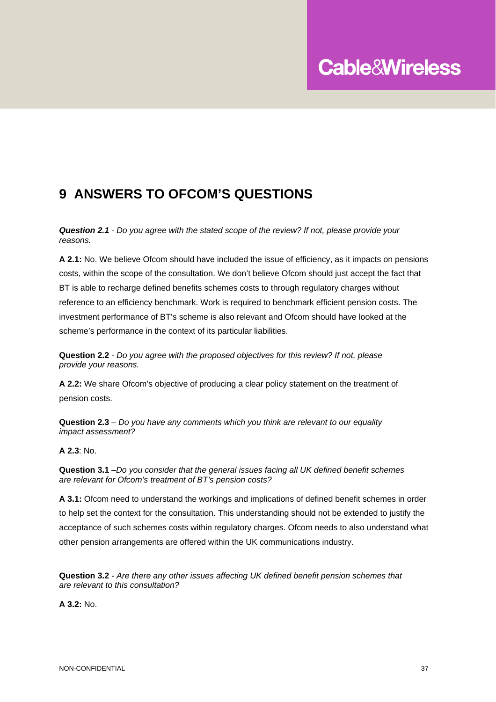## **9 ANSWERS TO OFCOM'S QUESTIONS**

*Question 2.1 - Do you agree with the stated scope of the review? If not, please provide your reasons.* 

**A 2.1:** No. We believe Ofcom should have included the issue of efficiency, as it impacts on pensions costs, within the scope of the consultation. We don't believe Ofcom should just accept the fact that BT is able to recharge defined benefits schemes costs to through regulatory charges without reference to an efficiency benchmark. Work is required to benchmark efficient pension costs. The investment performance of BT's scheme is also relevant and Ofcom should have looked at the scheme's performance in the context of its particular liabilities.

**Question 2.2** *- Do you agree with the proposed objectives for this review? If not, please provide your reasons.* 

**A 2.2:** We share Ofcom's objective of producing a clear policy statement on the treatment of pension costs.

**Question 2.3** *– Do you have any comments which you think are relevant to our equality impact assessment?* 

**A 2.3**: No.

**Question 3.1** *–Do you consider that the general issues facing all UK defined benefit schemes are relevant for Ofcom's treatment of BT's pension costs?* 

**A 3.1:** Ofcom need to understand the workings and implications of defined benefit schemes in order to help set the context for the consultation. This understanding should not be extended to justify the acceptance of such schemes costs within regulatory charges. Ofcom needs to also understand what other pension arrangements are offered within the UK communications industry.

**Question 3.2** *- Are there any other issues affecting UK defined benefit pension schemes that are relevant to this consultation?* 

**A 3.2:** No.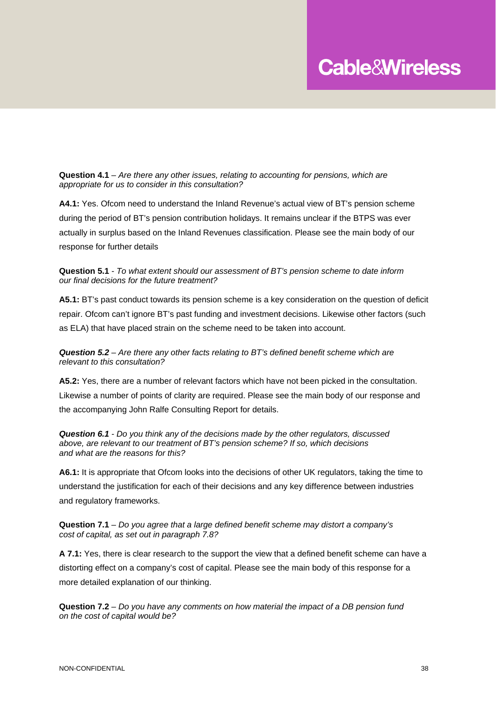**Question 4.1** *– Are there any other issues, relating to accounting for pensions, which are appropriate for us to consider in this consultation?* 

**A4.1:** Yes. Ofcom need to understand the Inland Revenue's actual view of BT's pension scheme during the period of BT's pension contribution holidays. It remains unclear if the BTPS was ever actually in surplus based on the Inland Revenues classification. Please see the main body of our response for further details

**Question 5.1** *- To what extent should our assessment of BT's pension scheme to date inform our final decisions for the future treatment?* 

**A5.1:** BT's past conduct towards its pension scheme is a key consideration on the question of deficit repair. Ofcom can't ignore BT's past funding and investment decisions. Likewise other factors (such as ELA) that have placed strain on the scheme need to be taken into account.

*Question 5.2 – Are there any other facts relating to BT's defined benefit scheme which are relevant to this consultation?* 

**A5.2:** Yes, there are a number of relevant factors which have not been picked in the consultation. Likewise a number of points of clarity are required. Please see the main body of our response and the accompanying John Ralfe Consulting Report for details.

*Question 6.1 - Do you think any of the decisions made by the other regulators, discussed above, are relevant to our treatment of BT's pension scheme? If so, which decisions and what are the reasons for this?* 

**A6.1:** It is appropriate that Ofcom looks into the decisions of other UK regulators, taking the time to understand the justification for each of their decisions and any key difference between industries and regulatory frameworks.

**Question 7.1** *– Do you agree that a large defined benefit scheme may distort a company's cost of capital, as set out in paragraph 7.8?* 

**A 7.1:** Yes, there is clear research to the support the view that a defined benefit scheme can have a distorting effect on a company's cost of capital. Please see the main body of this response for a more detailed explanation of our thinking.

**Question 7.2** *– Do you have any comments on how material the impact of a DB pension fund on the cost of capital would be?*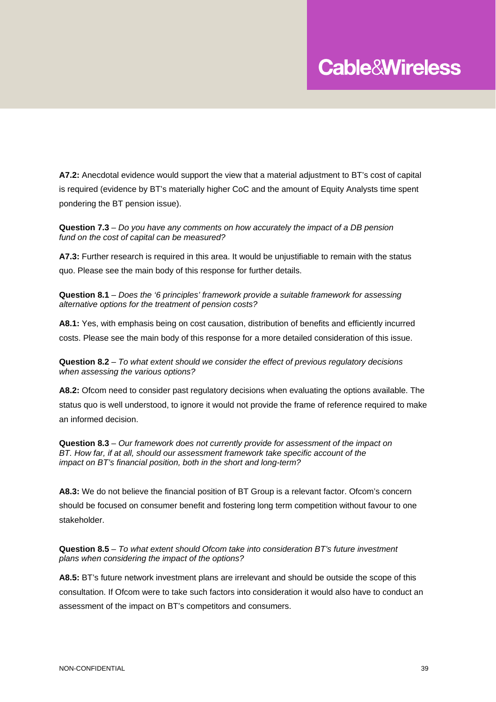**A7.2:** Anecdotal evidence would support the view that a material adjustment to BT's cost of capital is required (evidence by BT's materially higher CoC and the amount of Equity Analysts time spent pondering the BT pension issue).

**Question 7.3** *– Do you have any comments on how accurately the impact of a DB pension fund on the cost of capital can be measured?* 

**A7.3:** Further research is required in this area. It would be unjustifiable to remain with the status quo. Please see the main body of this response for further details.

**Question 8.1** *– Does the '6 principles' framework provide a suitable framework for assessing alternative options for the treatment of pension costs?* 

**A8.1:** Yes, with emphasis being on cost causation, distribution of benefits and efficiently incurred costs. Please see the main body of this response for a more detailed consideration of this issue.

**Question 8.2** *– To what extent should we consider the effect of previous regulatory decisions when assessing the various options?* 

**A8.2:** Ofcom need to consider past regulatory decisions when evaluating the options available. The status quo is well understood, to ignore it would not provide the frame of reference required to make an informed decision.

**Question 8.3** *– Our framework does not currently provide for assessment of the impact on BT. How far, if at all, should our assessment framework take specific account of the impact on BT's financial position, both in the short and long-term?* 

**A8.3:** We do not believe the financial position of BT Group is a relevant factor. Ofcom's concern should be focused on consumer benefit and fostering long term competition without favour to one stakeholder.

**Question 8.5** *– To what extent should Ofcom take into consideration BT's future investment plans when considering the impact of the options?* 

**A8.5:** BT's future network investment plans are irrelevant and should be outside the scope of this consultation. If Ofcom were to take such factors into consideration it would also have to conduct an assessment of the impact on BT's competitors and consumers.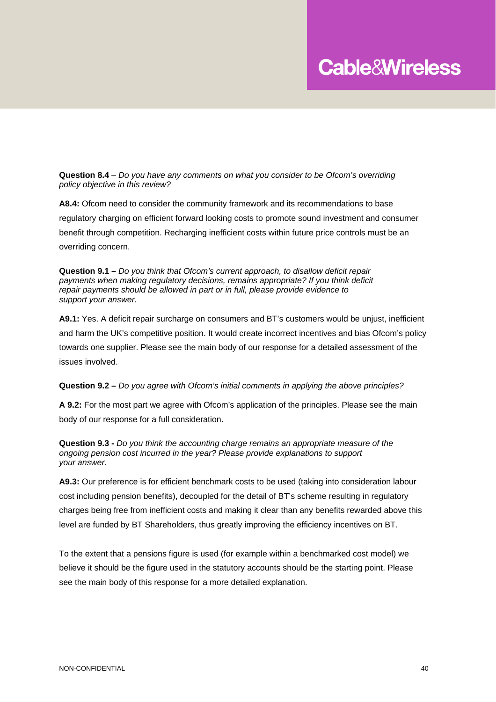**Question 8.4** – *Do you have any comments on what you consider to be Ofcom's overriding policy objective in this review?* 

**A8.4:** Ofcom need to consider the community framework and its recommendations to base regulatory charging on efficient forward looking costs to promote sound investment and consumer benefit through competition. Recharging inefficient costs within future price controls must be an overriding concern.

**Question 9.1 –** *Do you think that Ofcom's current approach, to disallow deficit repair payments when making regulatory decisions, remains appropriate? If you think deficit repair payments should be allowed in part or in full, please provide evidence to support your answer.* 

**A9.1:** Yes. A deficit repair surcharge on consumers and BT's customers would be unjust, inefficient and harm the UK's competitive position. It would create incorrect incentives and bias Ofcom's policy towards one supplier. Please see the main body of our response for a detailed assessment of the issues involved.

**Question 9.2 –** *Do you agree with Ofcom's initial comments in applying the above principles?* 

**A 9.2:** For the most part we agree with Ofcom's application of the principles. Please see the main body of our response for a full consideration.

**Question 9.3 -** *Do you think the accounting charge remains an appropriate measure of the ongoing pension cost incurred in the year? Please provide explanations to support your answer.* 

**A9.3:** Our preference is for efficient benchmark costs to be used (taking into consideration labour cost including pension benefits), decoupled for the detail of BT's scheme resulting in regulatory charges being free from inefficient costs and making it clear than any benefits rewarded above this level are funded by BT Shareholders, thus greatly improving the efficiency incentives on BT.

To the extent that a pensions figure is used (for example within a benchmarked cost model) we believe it should be the figure used in the statutory accounts should be the starting point. Please see the main body of this response for a more detailed explanation.